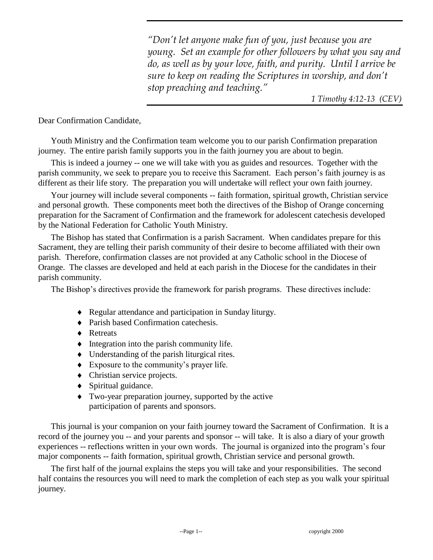*"Don't let anyone make fun of you, just because you are young. Set an example for other followers by what you say and do, as well as by your love, faith, and purity. Until I arrive be sure to keep on reading the Scriptures in worship, and don't stop preaching and teaching."*

*1 Timothy 4:12-13 (CEV)*

Dear Confirmation Candidate,

Youth Ministry and the Confirmation team welcome you to our parish Confirmation preparation journey. The entire parish family supports you in the faith journey you are about to begin.

This is indeed a journey -- one we will take with you as guides and resources. Together with the parish community, we seek to prepare you to receive this Sacrament. Each person's faith journey is as different as their life story. The preparation you will undertake will reflect your own faith journey.

Your journey will include several components -- faith formation, spiritual growth, Christian service and personal growth. These components meet both the directives of the Bishop of Orange concerning preparation for the Sacrament of Confirmation and the framework for adolescent catechesis developed by the National Federation for Catholic Youth Ministry.

The Bishop has stated that Confirmation is a parish Sacrament. When candidates prepare for this Sacrament, they are telling their parish community of their desire to become affiliated with their own parish. Therefore, confirmation classes are not provided at any Catholic school in the Diocese of Orange. The classes are developed and held at each parish in the Diocese for the candidates in their parish community.

The Bishop's directives provide the framework for parish programs. These directives include:

- Regular attendance and participation in Sunday liturgy.
- ◆ Parish based Confirmation catechesis.
- ◆ Retreats
- $\blacklozenge$  Integration into the parish community life.
- Understanding of the parish liturgical rites.
- Exposure to the community's prayer life.
- Christian service projects.
- Spiritual guidance.
- Two-year preparation journey, supported by the active participation of parents and sponsors.

This journal is your companion on your faith journey toward the Sacrament of Confirmation. It is a record of the journey you -- and your parents and sponsor -- will take. It is also a diary of your growth experiences -- reflections written in your own words. The journal is organized into the program's four major components -- faith formation, spiritual growth, Christian service and personal growth.

The first half of the journal explains the steps you will take and your responsibilities. The second half contains the resources you will need to mark the completion of each step as you walk your spiritual journey.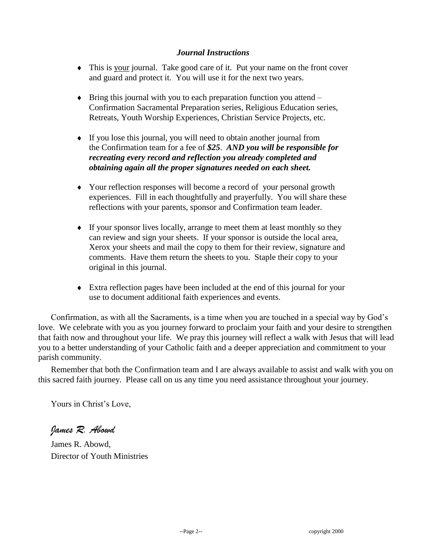#### *Journal Instructions*

- This is your journal. Take good care of it. Put your name on the front cover and guard and protect it. You will use it for the next two years.
- $\bullet$  Bring this journal with you to each preparation function you attend Confirmation Sacramental Preparation series, Religious Education series, Retreats, Youth Worship Experiences, Christian Service Projects, etc.
- If you lose this journal, you will need to obtain another journal from the Confirmation team for a fee of *\$25*. *AND you will be responsible for recreating every record and reflection you already completed and obtaining again all the proper signatures needed on each sheet.*
- Your reflection responses will become a record of your personal growth experiences. Fill in each thoughtfully and prayerfully. You will share these reflections with your parents, sponsor and Confirmation team leader.
- If your sponsor lives locally, arrange to meet them at least monthly so they can review and sign your sheets. If your sponsor is outside the local area, Xerox your sheets and mail the copy to them for their review, signature and comments. Have them return the sheets to you. Staple their copy to your original in this journal.
- Extra reflection pages have been included at the end of this journal for your use to document additional faith experiences and events.

Confirmation, as with all the Sacraments, is a time when you are touched in a special way by God's love. We celebrate with you as you journey forward to proclaim your faith and your desire to strengthen that faith now and throughout your life. We pray this journey will reflect a walk with Jesus that will lead you to a better understanding of your Catholic faith and a deeper appreciation and commitment to your parish community.

Remember that both the Confirmation team and I are always available to assist and walk with you on this sacred faith journey. Please call on us any time you need assistance throughout your journey.

Yours in Christ's Love,

*James R. Abowd*

James R. Abowd, Director of Youth Ministries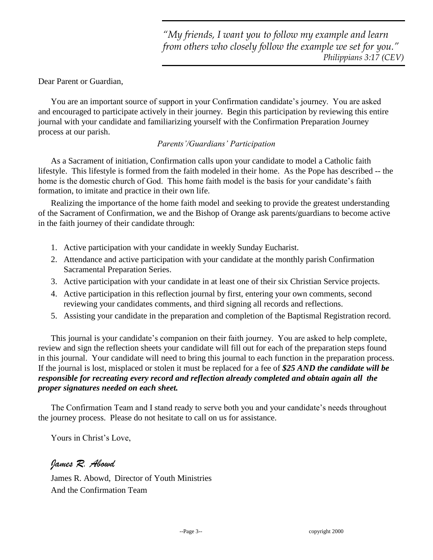Dear Parent or Guardian,

You are an important source of support in your Confirmation candidate's journey. You are asked and encouraged to participate actively in their journey. Begin this participation by reviewing this entire journal with your candidate and familiarizing yourself with the Confirmation Preparation Journey process at our parish.

#### *Parents'/Guardians' Participation*

As a Sacrament of initiation, Confirmation calls upon your candidate to model a Catholic faith lifestyle. This lifestyle is formed from the faith modeled in their home. As the Pope has described -- the home is the domestic church of God. This home faith model is the basis for your candidate's faith formation, to imitate and practice in their own life.

Realizing the importance of the home faith model and seeking to provide the greatest understanding of the Sacrament of Confirmation, we and the Bishop of Orange ask parents/guardians to become active in the faith journey of their candidate through:

- 1. Active participation with your candidate in weekly Sunday Eucharist.
- 2. Attendance and active participation with your candidate at the monthly parish Confirmation Sacramental Preparation Series.
- 3. Active participation with your candidate in at least one of their six Christian Service projects.
- 4. Active participation in this reflection journal by first, entering your own comments, second reviewing your candidates comments, and third signing all records and reflections.
- 5. Assisting your candidate in the preparation and completion of the Baptismal Registration record.

This journal is your candidate's companion on their faith journey. You are asked to help complete, review and sign the reflection sheets your candidate will fill out for each of the preparation steps found in this journal. Your candidate will need to bring this journal to each function in the preparation process. If the journal is lost, misplaced or stolen it must be replaced for a fee of *\$25 AND the candidate will be responsible for recreating every record and reflection already completed and obtain again all the proper signatures needed on each sheet.*

The Confirmation Team and I stand ready to serve both you and your candidate's needs throughout the journey process. Please do not hesitate to call on us for assistance.

Yours in Christ's Love,

#### *James R. Abowd*

James R. Abowd, Director of Youth Ministries And the Confirmation Team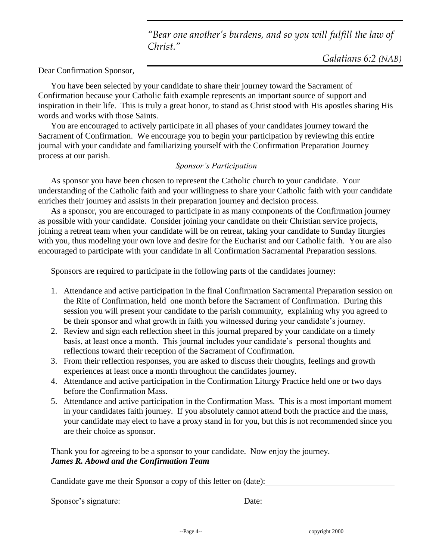*"Bear one another's burdens, and so you will fulfill the law of Christ."*

Dear Confirmation Sponsor,

You have been selected by your candidate to share their journey toward the Sacrament of Confirmation because your Catholic faith example represents an important source of support and inspiration in their life. This is truly a great honor, to stand as Christ stood with His apostles sharing His words and works with those Saints.

You are encouraged to actively participate in all phases of your candidates journey toward the Sacrament of Confirmation. We encourage you to begin your participation by reviewing this entire journal with your candidate and familiarizing yourself with the Confirmation Preparation Journey process at our parish.

#### *Sponsor's Participation*

As sponsor you have been chosen to represent the Catholic church to your candidate. Your understanding of the Catholic faith and your willingness to share your Catholic faith with your candidate enriches their journey and assists in their preparation journey and decision process.

As a sponsor, you are encouraged to participate in as many components of the Confirmation journey as possible with your candidate. Consider joining your candidate on their Christian service projects, joining a retreat team when your candidate will be on retreat, taking your candidate to Sunday liturgies with you, thus modeling your own love and desire for the Eucharist and our Catholic faith. You are also encouraged to participate with your candidate in all Confirmation Sacramental Preparation sessions.

Sponsors are required to participate in the following parts of the candidates journey:

- 1. Attendance and active participation in the final Confirmation Sacramental Preparation session on the Rite of Confirmation, held one month before the Sacrament of Confirmation. During this session you will present your candidate to the parish community, explaining why you agreed to be their sponsor and what growth in faith you witnessed during your candidate's journey.
- 2. Review and sign each reflection sheet in this journal prepared by your candidate on a timely basis, at least once a month. This journal includes your candidate's personal thoughts and reflections toward their reception of the Sacrament of Confirmation.
- 3. From their reflection responses, you are asked to discuss their thoughts, feelings and growth experiences at least once a month throughout the candidates journey.
- 4. Attendance and active participation in the Confirmation Liturgy Practice held one or two days before the Confirmation Mass.
- 5. Attendance and active participation in the Confirmation Mass. This is a most important moment in your candidates faith journey. If you absolutely cannot attend both the practice and the mass, your candidate may elect to have a proxy stand in for you, but this is not recommended since you are their choice as sponsor.

Thank you for agreeing to be a sponsor to your candidate. Now enjoy the journey. *James R. Abowd and the Confirmation Team*

Candidate gave me their Sponsor a copy of this letter on (date):

Sponsor's signature: Date: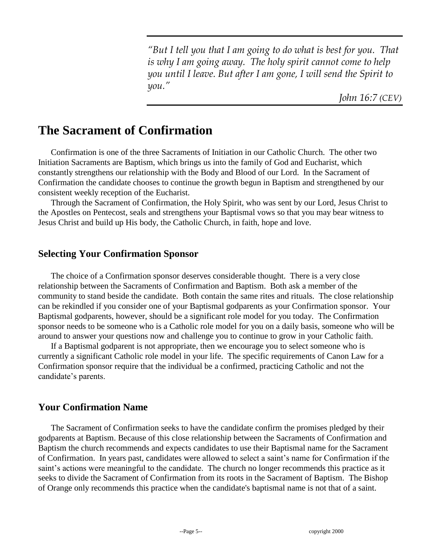*"But I tell you that I am going to do what is best for you. That is why I am going away. The holy spirit cannot come to help you until I leave. But after I am gone, I will send the Spirit to you."*

*John 16:7 (CEV)*

# **The Sacrament of Confirmation**

Confirmation is one of the three Sacraments of Initiation in our Catholic Church. The other two Initiation Sacraments are Baptism, which brings us into the family of God and Eucharist, which constantly strengthens our relationship with the Body and Blood of our Lord. In the Sacrament of Confirmation the candidate chooses to continue the growth begun in Baptism and strengthened by our consistent weekly reception of the Eucharist.

Through the Sacrament of Confirmation, the Holy Spirit, who was sent by our Lord, Jesus Christ to the Apostles on Pentecost, seals and strengthens your Baptismal vows so that you may bear witness to Jesus Christ and build up His body, the Catholic Church, in faith, hope and love.

## **Selecting Your Confirmation Sponsor**

The choice of a Confirmation sponsor deserves considerable thought. There is a very close relationship between the Sacraments of Confirmation and Baptism. Both ask a member of the community to stand beside the candidate. Both contain the same rites and rituals. The close relationship can be rekindled if you consider one of your Baptismal godparents as your Confirmation sponsor. Your Baptismal godparents, however, should be a significant role model for you today. The Confirmation sponsor needs to be someone who is a Catholic role model for you on a daily basis, someone who will be around to answer your questions now and challenge you to continue to grow in your Catholic faith.

If a Baptismal godparent is not appropriate, then we encourage you to select someone who is currently a significant Catholic role model in your life. The specific requirements of Canon Law for a Confirmation sponsor require that the individual be a confirmed, practicing Catholic and not the candidate's parents.

## **Your Confirmation Name**

The Sacrament of Confirmation seeks to have the candidate confirm the promises pledged by their godparents at Baptism. Because of this close relationship between the Sacraments of Confirmation and Baptism the church recommends and expects candidates to use their Baptismal name for the Sacrament of Confirmation. In years past, candidates were allowed to select a saint's name for Confirmation if the saint's actions were meaningful to the candidate. The church no longer recommends this practice as it seeks to divide the Sacrament of Confirmation from its roots in the Sacrament of Baptism. The Bishop of Orange only recommends this practice when the candidate's baptismal name is not that of a saint.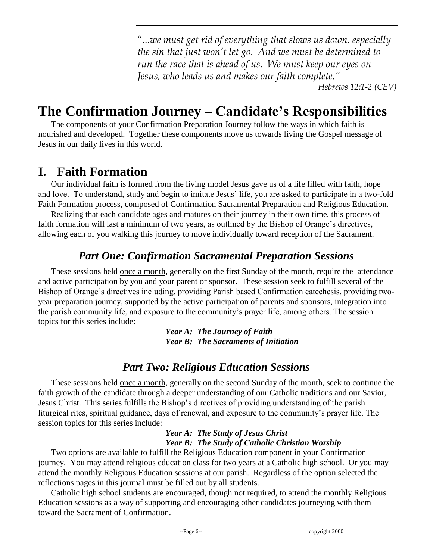"*...we must get rid of everything that slows us down, especially the sin that just won't let go. And we must be determined to run the race that is ahead of us. We must keep our eyes on Jesus, who leads us and makes our faith complete."* 

 *Hebrews 12:1-2 (CEV)*

# **The Confirmation Journey – Candidate's Responsibilities**

The components of your Confirmation Preparation Journey follow the ways in which faith is nourished and developed. Together these components move us towards living the Gospel message of Jesus in our daily lives in this world.

# **I. Faith Formation**

Our individual faith is formed from the living model Jesus gave us of a life filled with faith, hope and love. To understand, study and begin to imitate Jesus' life, you are asked to participate in a two-fold Faith Formation process, composed of Confirmation Sacramental Preparation and Religious Education.

Realizing that each candidate ages and matures on their journey in their own time, this process of faith formation will last a minimum of <u>two years</u>, as outlined by the Bishop of Orange's directives, allowing each of you walking this journey to move individually toward reception of the Sacrament.

## *Part One: Confirmation Sacramental Preparation Sessions*

These sessions held once a month, generally on the first Sunday of the month, require the attendance and active participation by you and your parent or sponsor. These session seek to fulfill several of the Bishop of Orange's directives including, providing Parish based Confirmation catechesis, providing twoyear preparation journey, supported by the active participation of parents and sponsors, integration into the parish community life, and exposure to the community's prayer life, among others. The session topics for this series include:

> *Year A: The Journey of Faith Year B: The Sacraments of Initiation*

## *Part Two: Religious Education Sessions*

These sessions held once a month, generally on the second Sunday of the month, seek to continue the faith growth of the candidate through a deeper understanding of our Catholic traditions and our Savior, Jesus Christ. This series fulfills the Bishop's directives of providing understanding of the parish liturgical rites, spiritual guidance, days of renewal, and exposure to the community's prayer life. The session topics for this series include:

#### *Year A: The Study of Jesus Christ Year B: The Study of Catholic Christian Worship*

Two options are available to fulfill the Religious Education component in your Confirmation journey. You may attend religious education class for two years at a Catholic high school. Or you may attend the monthly Religious Education sessions at our parish. Regardless of the option selected the reflections pages in this journal must be filled out by all students.

Catholic high school students are encouraged, though not required, to attend the monthly Religious Education sessions as a way of supporting and encouraging other candidates journeying with them toward the Sacrament of Confirmation.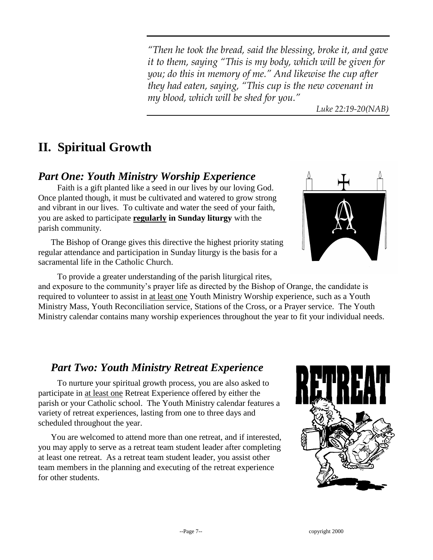*"Then he took the bread, said the blessing, broke it, and gave it to them, saying "This is my body, which will be given for you; do this in memory of me." And likewise the cup after they had eaten, saying, "This cup is the new covenant in my blood, which will be shed for you."*

 *Luke 22:19-20(NAB)*

# **II. Spiritual Growth**

## *Part One: Youth Ministry Worship Experience*

Faith is a gift planted like a seed in our lives by our loving God. Once planted though, it must be cultivated and watered to grow strong and vibrant in our lives. To cultivate and water the seed of your faith, you are asked to participate **regularly in Sunday liturgy** with the parish community.

The Bishop of Orange gives this directive the highest priority stating regular attendance and participation in Sunday liturgy is the basis for a sacramental life in the Catholic Church.

To provide a greater understanding of the parish liturgical rites, and exposure to the community's prayer life as directed by the Bishop of Orange, the candidate is required to volunteer to assist in at least one Youth Ministry Worship experience, such as a Youth Ministry Mass, Youth Reconciliation service, Stations of the Cross, or a Prayer service. The Youth Ministry calendar contains many worship experiences throughout the year to fit your individual needs.

## *Part Two: Youth Ministry Retreat Experience*

To nurture your spiritual growth process, you are also asked to participate in at least one Retreat Experience offered by either the parish or your Catholic school. The Youth Ministry calendar features a variety of retreat experiences, lasting from one to three days and scheduled throughout the year.

You are welcomed to attend more than one retreat, and if interested, you may apply to serve as a retreat team student leader after completing at least one retreat. As a retreat team student leader, you assist other team members in the planning and executing of the retreat experience for other students.



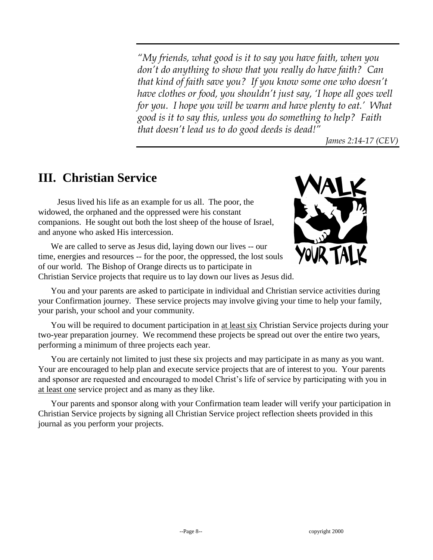*"My friends, what good is it to say you have faith, when you don't do anything to show that you really do have faith? Can that kind of faith save you? If you know some one who doesn't have clothes or food, you shouldn't just say, 'I hope all goes well for you. I hope you will be warm and have plenty to eat.' What good is it to say this, unless you do something to help? Faith that doesn't lead us to do good deeds is dead!"*

*James 2:14-17 (CEV)*

# **III. Christian Service**

Jesus lived his life as an example for us all. The poor, the widowed, the orphaned and the oppressed were his constant companions. He sought out both the lost sheep of the house of Israel, and anyone who asked His intercession.

We are called to serve as Jesus did, laying down our lives -- our time, energies and resources -- for the poor, the oppressed, the lost souls of our world. The Bishop of Orange directs us to participate in



Christian Service projects that require us to lay down our lives as Jesus did.

You and your parents are asked to participate in individual and Christian service activities during your Confirmation journey. These service projects may involve giving your time to help your family, your parish, your school and your community.

You will be required to document participation in at least six Christian Service projects during your two-year preparation journey. We recommend these projects be spread out over the entire two years, performing a minimum of three projects each year.

You are certainly not limited to just these six projects and may participate in as many as you want. Your are encouraged to help plan and execute service projects that are of interest to you. Your parents and sponsor are requested and encouraged to model Christ's life of service by participating with you in at least one service project and as many as they like.

Your parents and sponsor along with your Confirmation team leader will verify your participation in Christian Service projects by signing all Christian Service project reflection sheets provided in this journal as you perform your projects.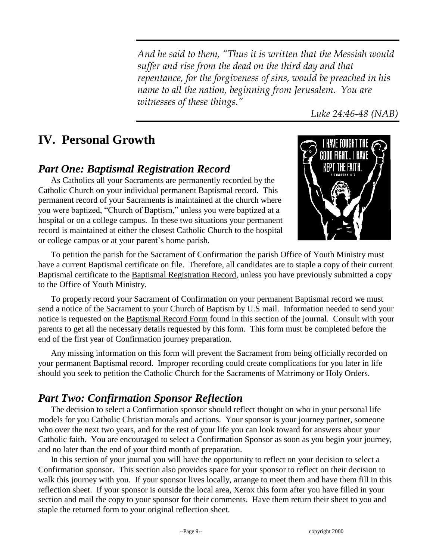*And he said to them, "Thus it is written that the Messiah would suffer and rise from the dead on the third day and that repentance, for the forgiveness of sins, would be preached in his name to all the nation, beginning from Jerusalem. You are witnesses of these things."*

*Luke 24:46-48 (NAB)*

# **IV. Personal Growth**

## *Part One: Baptismal Registration Record*

As Catholics all your Sacraments are permanently recorded by the Catholic Church on your individual permanent Baptismal record. This permanent record of your Sacraments is maintained at the church where you were baptized, "Church of Baptism," unless you were baptized at a hospital or on a college campus. In these two situations your permanent record is maintained at either the closest Catholic Church to the hospital or college campus or at your parent's home parish.



To petition the parish for the Sacrament of Confirmation the parish Office of Youth Ministry must have a current Baptismal certificate on file. Therefore, all candidates are to staple a copy of their current Baptismal certificate to the Baptismal Registration Record, unless you have previously submitted a copy to the Office of Youth Ministry.

To properly record your Sacrament of Confirmation on your permanent Baptismal record we must send a notice of the Sacrament to your Church of Baptism by U.S mail. Information needed to send your notice is requested on the Baptismal Record Form found in this section of the journal. Consult with your parents to get all the necessary details requested by this form. This form must be completed before the end of the first year of Confirmation journey preparation.

Any missing information on this form will prevent the Sacrament from being officially recorded on your permanent Baptismal record. Improper recording could create complications for you later in life should you seek to petition the Catholic Church for the Sacraments of Matrimony or Holy Orders.

## *Part Two: Confirmation Sponsor Reflection*

The decision to select a Confirmation sponsor should reflect thought on who in your personal life models for you Catholic Christian morals and actions. Your sponsor is your journey partner, someone who over the next two years, and for the rest of your life you can look toward for answers about your Catholic faith. You are encouraged to select a Confirmation Sponsor as soon as you begin your journey, and no later than the end of your third month of preparation.

In this section of your journal you will have the opportunity to reflect on your decision to select a Confirmation sponsor. This section also provides space for your sponsor to reflect on their decision to walk this journey with you. If your sponsor lives locally, arrange to meet them and have them fill in this reflection sheet. If your sponsor is outside the local area, Xerox this form after you have filled in your section and mail the copy to your sponsor for their comments. Have them return their sheet to you and staple the returned form to your original reflection sheet.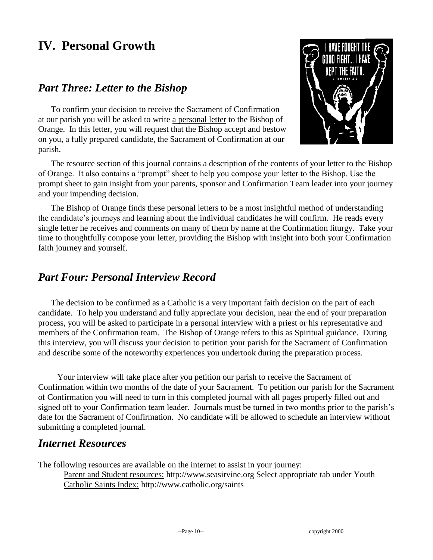# **IV. Personal Growth**

## *Part Three: Letter to the Bishop*

To confirm your decision to receive the Sacrament of Confirmation at our parish you will be asked to write a personal letter to the Bishop of Orange. In this letter, you will request that the Bishop accept and bestow on you, a fully prepared candidate, the Sacrament of Confirmation at our parish.



The resource section of this journal contains a description of the contents of your letter to the Bishop of Orange. It also contains a "prompt" sheet to help you compose your letter to the Bishop. Use the prompt sheet to gain insight from your parents, sponsor and Confirmation Team leader into your journey and your impending decision.

The Bishop of Orange finds these personal letters to be a most insightful method of understanding the candidate's journeys and learning about the individual candidates he will confirm. He reads every single letter he receives and comments on many of them by name at the Confirmation liturgy. Take your time to thoughtfully compose your letter, providing the Bishop with insight into both your Confirmation faith journey and yourself.

## *Part Four: Personal Interview Record*

The decision to be confirmed as a Catholic is a very important faith decision on the part of each candidate. To help you understand and fully appreciate your decision, near the end of your preparation process, you will be asked to participate in a personal interview with a priest or his representative and members of the Confirmation team. The Bishop of Orange refers to this as Spiritual guidance. During this interview, you will discuss your decision to petition your parish for the Sacrament of Confirmation and describe some of the noteworthy experiences you undertook during the preparation process.

Your interview will take place after you petition our parish to receive the Sacrament of Confirmation within two months of the date of your Sacrament. To petition our parish for the Sacrament of Confirmation you will need to turn in this completed journal with all pages properly filled out and signed off to your Confirmation team leader. Journals must be turned in two months prior to the parish's date for the Sacrament of Confirmation. No candidate will be allowed to schedule an interview without submitting a completed journal.

## *Internet Resources*

The following resources are available on the internet to assist in your journey:

Parent and Student resources: http://www.seasirvine.org Select appropriate tab under Youth Catholic Saints Index: http://www.catholic.org/saints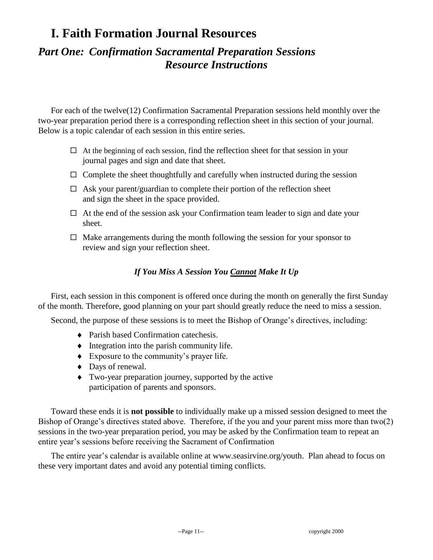## *Part One: Confirmation Sacramental Preparation Sessions Resource Instructions*

For each of the twelve(12) Confirmation Sacramental Preparation sessions held monthly over the two-year preparation period there is a corresponding reflection sheet in this section of your journal. Below is a topic calendar of each session in this entire series.

- $\Box$  At the beginning of each session, find the reflection sheet for that session in your journal pages and sign and date that sheet.
- $\Box$  Complete the sheet thoughtfully and carefully when instructed during the session
- $\Box$  Ask your parent/guardian to complete their portion of the reflection sheet and sign the sheet in the space provided.
- $\Box$  At the end of the session ask your Confirmation team leader to sign and date your sheet.
- $\Box$  Make arrangements during the month following the session for your sponsor to review and sign your reflection sheet.

#### *If You Miss A Session You Cannot Make It Up*

First, each session in this component is offered once during the month on generally the first Sunday of the month. Therefore, good planning on your part should greatly reduce the need to miss a session.

Second, the purpose of these sessions is to meet the Bishop of Orange's directives, including:

- Parish based Confirmation catechesis.
- $\bullet$  Integration into the parish community life.
- Exposure to the community's prayer life.
- ◆ Days of renewal.
- Two-year preparation journey, supported by the active participation of parents and sponsors.

Toward these ends it is **not possible** to individually make up a missed session designed to meet the Bishop of Orange's directives stated above. Therefore, if the you and your parent miss more than two(2) sessions in the two-year preparation period, you may be asked by the Confirmation team to repeat an entire year's sessions before receiving the Sacrament of Confirmation

The entire year's calendar is available online at www.seasirvine.org/youth. Plan ahead to focus on these very important dates and avoid any potential timing conflicts.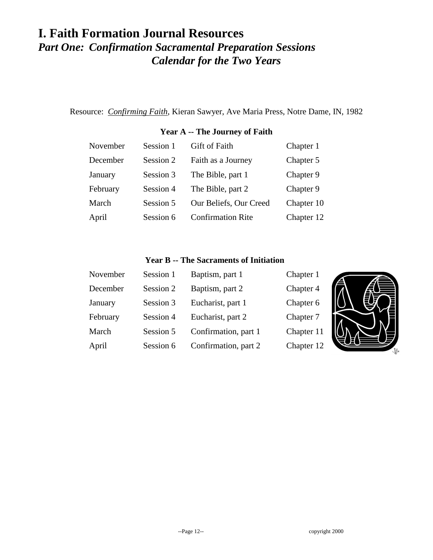# **I. Faith Formation Journal Resources** *Part One: Confirmation Sacramental Preparation Sessions Calendar for the Two Years*

Resource: *Confirming Faith*, Kieran Sawyer, Ave Maria Press, Notre Dame, IN, 1982

#### **Year A -- The Journey of Faith**

| November | Session 1 | <b>Gift of Faith</b>     | Chapter 1  |
|----------|-----------|--------------------------|------------|
| December | Session 2 | Faith as a Journey       | Chapter 5  |
| January  | Session 3 | The Bible, part 1        | Chapter 9  |
| February | Session 4 | The Bible, part 2        | Chapter 9  |
| March    | Session 5 | Our Beliefs, Our Creed   | Chapter 10 |
| April    | Session 6 | <b>Confirmation Rite</b> | Chapter 12 |

#### **Year B -- The Sacraments of Initiation**

| November | Session 1 | Baptism, part 1      | Chapter 1  |  |
|----------|-----------|----------------------|------------|--|
| December | Session 2 | Baptism, part 2      | Chapter 4  |  |
| January  | Session 3 | Eucharist, part 1    | Chapter 6  |  |
| February | Session 4 | Eucharist, part 2    | Chapter 7  |  |
| March    | Session 5 | Confirmation, part 1 | Chapter 11 |  |
| April    | Session 6 | Confirmation, part 2 | Chapter 12 |  |

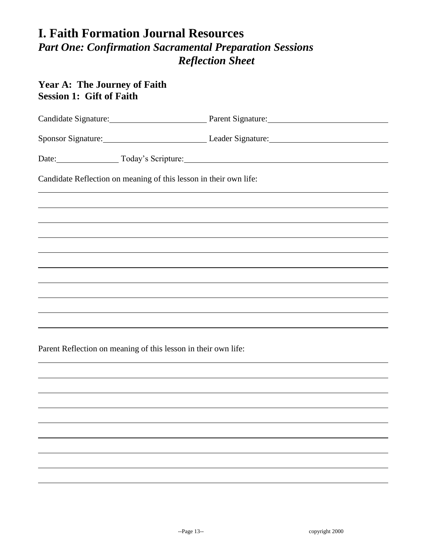## **Year A: The Journey of Faith Session 1: Gift of Faith**

|                                                                   | Candidate Signature: Parent Signature: Parent Signature:                         |
|-------------------------------------------------------------------|----------------------------------------------------------------------------------|
|                                                                   | Sponsor Signature: Leader Signature: Leader Signature:                           |
| Date: Today's Scripture: Today's Scripture.                       |                                                                                  |
| Candidate Reflection on meaning of this lesson in their own life: |                                                                                  |
|                                                                   | ,我们也不会有什么。""我们的人,我们也不会有什么?""我们的人,我们也不会有什么?""我们的人,我们也不会有什么?""我们的人,我们也不会有什么?""我们的人 |
|                                                                   |                                                                                  |
|                                                                   |                                                                                  |
|                                                                   |                                                                                  |
|                                                                   | ,我们也不会有什么。""我们的人,我们也不会有什么?""我们的人,我们也不会有什么?""我们的人,我们也不会有什么?""我们的人,我们也不会有什么?""我们的人 |
|                                                                   |                                                                                  |
|                                                                   |                                                                                  |
|                                                                   |                                                                                  |
|                                                                   |                                                                                  |
|                                                                   |                                                                                  |
| Parent Reflection on meaning of this lesson in their own life:    |                                                                                  |
|                                                                   |                                                                                  |
|                                                                   |                                                                                  |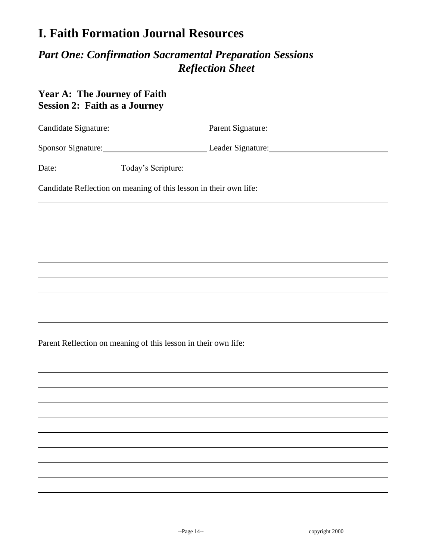## *Part One: Confirmation Sacramental Preparation Sessions Reflection Sheet*

## **Year A: The Journey of Faith Session 2: Faith as a Journey**

|                                                                   | Candidate Signature: Parent Signature: Parent Signature:                         |
|-------------------------------------------------------------------|----------------------------------------------------------------------------------|
|                                                                   | Sponsor Signature: Leader Signature: Leader Signature:                           |
| Date: Today's Scripture: Today's Scripture:                       |                                                                                  |
| Candidate Reflection on meaning of this lesson in their own life: |                                                                                  |
|                                                                   |                                                                                  |
|                                                                   | ,我们也不会有什么?""我们的人,我们也不会有什么?""我们的人,我们也不会有什么?""我们的人,我们也不会有什么?""我们的人,我们也不会有什么?""我们的人 |
|                                                                   |                                                                                  |
|                                                                   |                                                                                  |
|                                                                   |                                                                                  |
|                                                                   |                                                                                  |
|                                                                   |                                                                                  |
|                                                                   |                                                                                  |
| Parent Reflection on meaning of this lesson in their own life:    |                                                                                  |
|                                                                   |                                                                                  |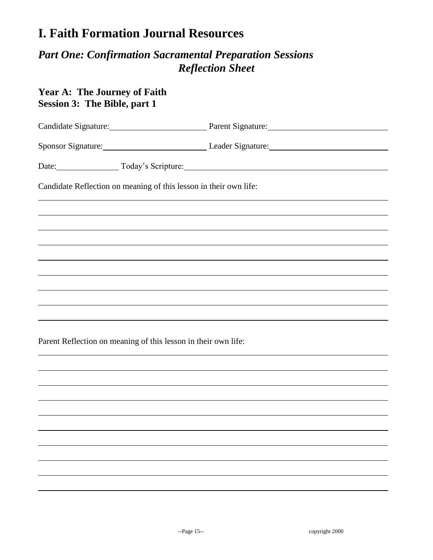## *Part One: Confirmation Sacramental Preparation Sessions Reflection Sheet*

## **Year A: The Journey of Faith Session 3: The Bible, part 1**

| Sponsor Signature: Leader Signature: Leader Signature:<br>Date: Today's Scripture:<br>Candidate Reflection on meaning of this lesson in their own life: |  | Candidate Signature: Parent Signature: Parent Signature: |  |
|---------------------------------------------------------------------------------------------------------------------------------------------------------|--|----------------------------------------------------------|--|
|                                                                                                                                                         |  |                                                          |  |
|                                                                                                                                                         |  |                                                          |  |
|                                                                                                                                                         |  |                                                          |  |
|                                                                                                                                                         |  |                                                          |  |
|                                                                                                                                                         |  |                                                          |  |
|                                                                                                                                                         |  |                                                          |  |
|                                                                                                                                                         |  |                                                          |  |
|                                                                                                                                                         |  |                                                          |  |
|                                                                                                                                                         |  |                                                          |  |
|                                                                                                                                                         |  |                                                          |  |
|                                                                                                                                                         |  |                                                          |  |
| Parent Reflection on meaning of this lesson in their own life:                                                                                          |  |                                                          |  |
|                                                                                                                                                         |  |                                                          |  |
|                                                                                                                                                         |  |                                                          |  |
|                                                                                                                                                         |  |                                                          |  |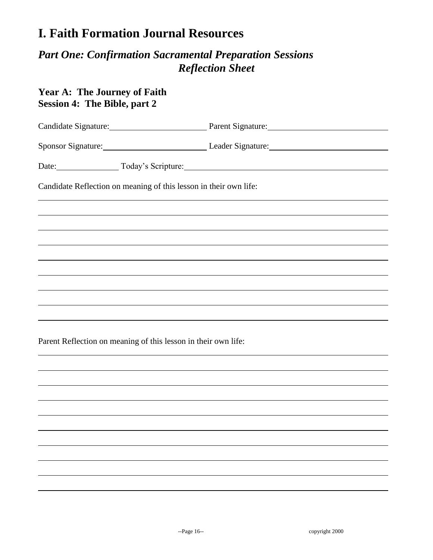## *Part One: Confirmation Sacramental Preparation Sessions Reflection Sheet*

## **Year A: The Journey of Faith Session 4: The Bible, part 2**

|                                                                   | Candidate Signature: Parent Signature: Parent Signature: |  |
|-------------------------------------------------------------------|----------------------------------------------------------|--|
|                                                                   | Sponsor Signature: Leader Signature: Leader Signature:   |  |
| Date: Today's Scripture: Today's Scripture.                       |                                                          |  |
| Candidate Reflection on meaning of this lesson in their own life: |                                                          |  |
|                                                                   |                                                          |  |
|                                                                   |                                                          |  |
|                                                                   |                                                          |  |
|                                                                   |                                                          |  |
|                                                                   |                                                          |  |
|                                                                   |                                                          |  |
|                                                                   |                                                          |  |
|                                                                   |                                                          |  |
|                                                                   |                                                          |  |
| Parent Reflection on meaning of this lesson in their own life:    |                                                          |  |
|                                                                   |                                                          |  |
|                                                                   |                                                          |  |
|                                                                   |                                                          |  |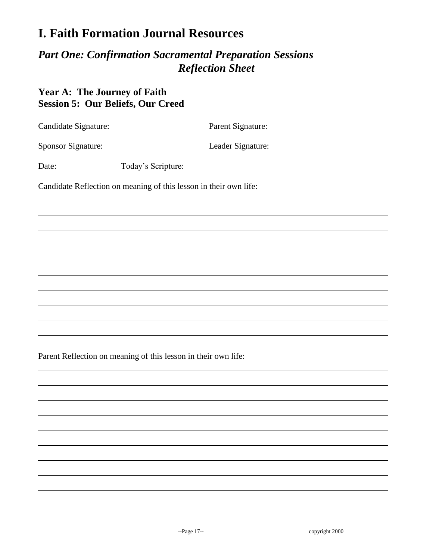## *Part One: Confirmation Sacramental Preparation Sessions Reflection Sheet*

## **Year A: The Journey of Faith Session 5: Our Beliefs, Our Creed**

|                                                                                  | Sponsor Signature: Leader Signature: Leader Signature:                           |
|----------------------------------------------------------------------------------|----------------------------------------------------------------------------------|
| Date: Today's Scripture:                                                         |                                                                                  |
| Candidate Reflection on meaning of this lesson in their own life:                |                                                                                  |
| ,我们也不会有什么。""我们的人,我们也不会有什么?""我们的人,我们也不会有什么?""我们的人,我们也不会有什么?""我们的人,我们也不会有什么?""我们的人 |                                                                                  |
|                                                                                  |                                                                                  |
|                                                                                  | ,我们也不会有什么。""我们的人,我们也不会有什么?""我们的人,我们也不会有什么?""我们的人,我们也不会有什么?""我们的人,我们也不会有什么?""我们的人 |
|                                                                                  |                                                                                  |
|                                                                                  |                                                                                  |
|                                                                                  |                                                                                  |
|                                                                                  |                                                                                  |
|                                                                                  |                                                                                  |
|                                                                                  |                                                                                  |

Parent Reflection on meaning of this lesson in their own life: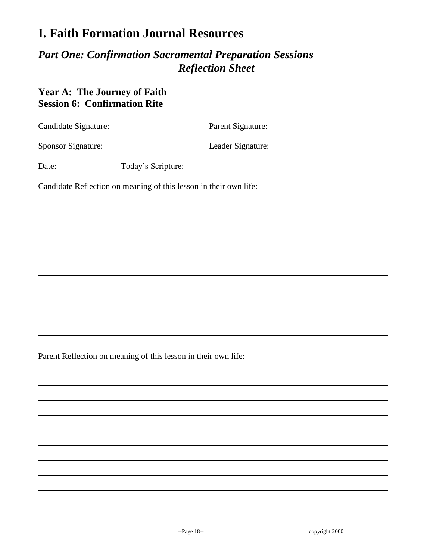## *Part One: Confirmation Sacramental Preparation Sessions Reflection Sheet*

## **Year A: The Journey of Faith Session 6: Confirmation Rite**

|                                                                   | Sponsor Signature: Leader Signature: Leader Signature:                                 |  |
|-------------------------------------------------------------------|----------------------------------------------------------------------------------------|--|
|                                                                   | Date: Today's Scripture: Camera Communication Contains a Control of Today's Scripture: |  |
| Candidate Reflection on meaning of this lesson in their own life: |                                                                                        |  |
| <u> 1989 - Andrea Andrews, Amerikaansk politik (d. 1989)</u>      |                                                                                        |  |
|                                                                   |                                                                                        |  |
|                                                                   |                                                                                        |  |
|                                                                   |                                                                                        |  |
|                                                                   | ,我们也不会有什么。""我们的人,我们也不会有什么?""我们的人,我们也不会有什么?""我们的人,我们也不会有什么?""我们的人,我们也不会有什么?""我们的人       |  |
|                                                                   |                                                                                        |  |
|                                                                   |                                                                                        |  |
|                                                                   |                                                                                        |  |
|                                                                   |                                                                                        |  |

Parent Reflection on meaning of this lesson in their own life: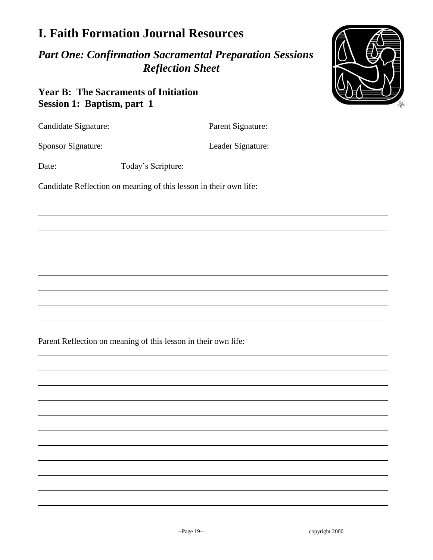## *Part One: Confirmation Sacramental Preparation Sessions Reflection Sheet*

## **Year B: The Sacraments of Initiation Session 1: Baptism, part 1**

|                                                                   | Candidate Signature: Parent Signature: Parent Signature:                         |  |
|-------------------------------------------------------------------|----------------------------------------------------------------------------------|--|
|                                                                   | Sponsor Signature: Leader Signature: Leader Signature:                           |  |
| Date: Today's Scripture: Today's Scripture.                       |                                                                                  |  |
| Candidate Reflection on meaning of this lesson in their own life: |                                                                                  |  |
|                                                                   |                                                                                  |  |
|                                                                   |                                                                                  |  |
|                                                                   |                                                                                  |  |
|                                                                   |                                                                                  |  |
|                                                                   | ,我们也不会有什么?""我们的人,我们也不会有什么?""我们的人,我们也不会有什么?""我们的人,我们也不会有什么?""我们的人,我们也不会有什么?""我们的人 |  |
|                                                                   |                                                                                  |  |
|                                                                   |                                                                                  |  |
| Parent Reflection on meaning of this lesson in their own life:    |                                                                                  |  |
|                                                                   |                                                                                  |  |
|                                                                   |                                                                                  |  |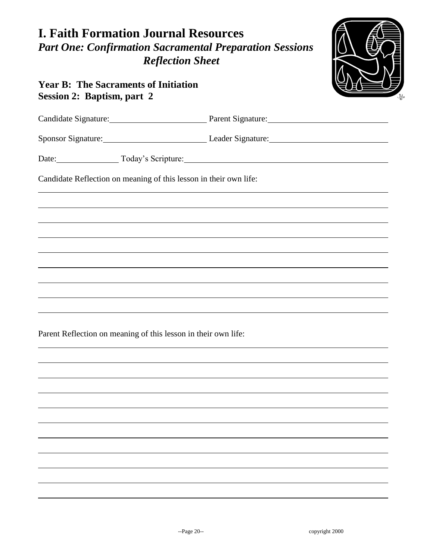

## **Year B: The Sacraments of Initiation Session 2: Baptism, part 2**

|                                                                   | Candidate Signature: Parent Signature: Parent Signature: |  |
|-------------------------------------------------------------------|----------------------------------------------------------|--|
|                                                                   | Sponsor Signature: Leader Signature: Leader Signature:   |  |
| Date: Today's Scripture: Today's Scripture.                       |                                                          |  |
| Candidate Reflection on meaning of this lesson in their own life: |                                                          |  |
|                                                                   |                                                          |  |
|                                                                   |                                                          |  |
|                                                                   |                                                          |  |
|                                                                   |                                                          |  |
|                                                                   |                                                          |  |
|                                                                   |                                                          |  |
|                                                                   |                                                          |  |
| Parent Reflection on meaning of this lesson in their own life:    |                                                          |  |
|                                                                   |                                                          |  |
|                                                                   |                                                          |  |
|                                                                   |                                                          |  |
|                                                                   |                                                          |  |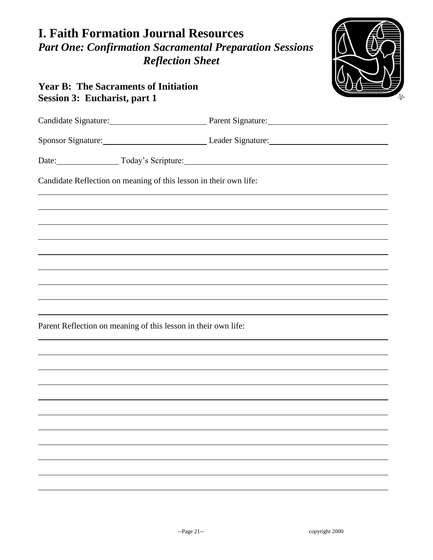

## **Year B: The Sacraments of Initiation Session 3: Eucharist, part 1**

|                                                                   | Candidate Signature: Parent Signature:                 |
|-------------------------------------------------------------------|--------------------------------------------------------|
|                                                                   | Sponsor Signature: Leader Signature: Leader Signature: |
| Date: Today's Scripture:                                          |                                                        |
| Candidate Reflection on meaning of this lesson in their own life: |                                                        |
|                                                                   |                                                        |
|                                                                   |                                                        |
|                                                                   |                                                        |
|                                                                   |                                                        |
|                                                                   |                                                        |
|                                                                   |                                                        |
| Parent Reflection on meaning of this lesson in their own life:    |                                                        |
|                                                                   |                                                        |
|                                                                   |                                                        |
|                                                                   |                                                        |
|                                                                   |                                                        |
|                                                                   |                                                        |
|                                                                   |                                                        |
|                                                                   |                                                        |
|                                                                   |                                                        |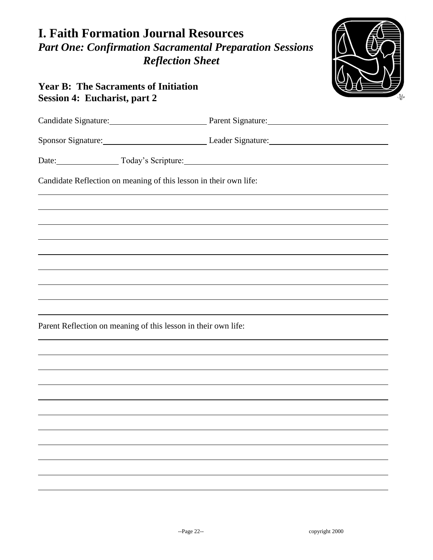

## **Year B: The Sacraments of Initiation Session 4: Eucharist, part 2**

|                                                                   | Candidate Signature: Parent Signature: Parent Signature: |
|-------------------------------------------------------------------|----------------------------------------------------------|
|                                                                   | Sponsor Signature: Leader Signature: Leader Signature:   |
| Date: Today's Scripture: Today's Scripture.                       |                                                          |
| Candidate Reflection on meaning of this lesson in their own life: |                                                          |
|                                                                   |                                                          |
|                                                                   |                                                          |
|                                                                   |                                                          |
|                                                                   |                                                          |
|                                                                   |                                                          |
|                                                                   |                                                          |
| Parent Reflection on meaning of this lesson in their own life:    |                                                          |
|                                                                   |                                                          |
|                                                                   |                                                          |
|                                                                   |                                                          |
|                                                                   |                                                          |
|                                                                   |                                                          |
|                                                                   |                                                          |
|                                                                   |                                                          |
|                                                                   |                                                          |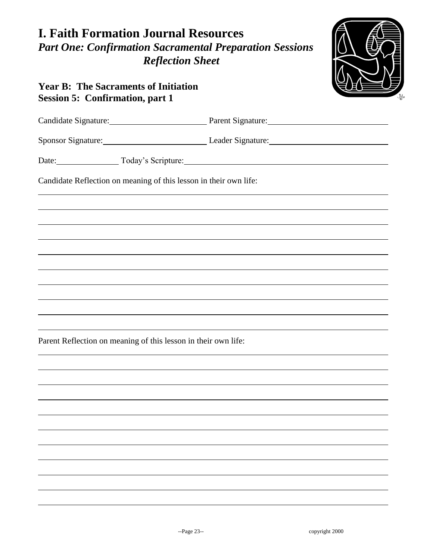

## **Year B: The Sacraments of Initiation Session 5: Confirmation, part 1**

|                                                                   | Candidate Signature: Parent Signature: Parent Signature: |
|-------------------------------------------------------------------|----------------------------------------------------------|
|                                                                   | Sponsor Signature: Leader Signature: Leader Signature:   |
| Date: Today's Scripture: Today's Scripture.                       |                                                          |
| Candidate Reflection on meaning of this lesson in their own life: |                                                          |
|                                                                   |                                                          |
|                                                                   |                                                          |
|                                                                   |                                                          |
|                                                                   |                                                          |
|                                                                   |                                                          |
|                                                                   |                                                          |
|                                                                   |                                                          |
| Parent Reflection on meaning of this lesson in their own life:    |                                                          |
|                                                                   |                                                          |
|                                                                   |                                                          |
|                                                                   |                                                          |
|                                                                   |                                                          |
|                                                                   |                                                          |
|                                                                   |                                                          |
|                                                                   |                                                          |
|                                                                   |                                                          |
|                                                                   |                                                          |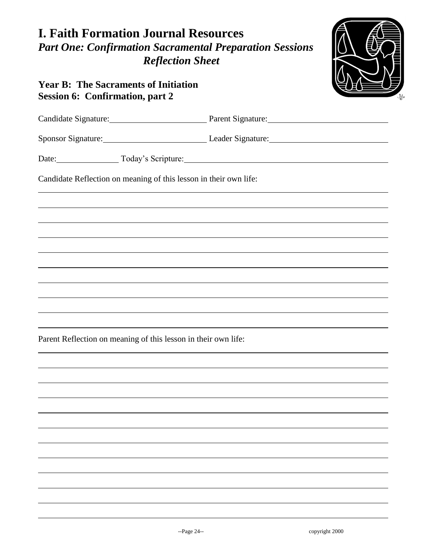

## **Year B: The Sacraments of Initiation Session 6: Confirmation, part 2**

| Candidate Signature: Parent Signature: Parent Signature:          |
|-------------------------------------------------------------------|
| Sponsor Signature: Leader Signature: Leader Signature:            |
| Date: Today's Scripture:                                          |
| Candidate Reflection on meaning of this lesson in their own life: |
|                                                                   |
|                                                                   |
|                                                                   |
|                                                                   |
|                                                                   |
|                                                                   |
|                                                                   |
| Parent Reflection on meaning of this lesson in their own life:    |
|                                                                   |
|                                                                   |
|                                                                   |
|                                                                   |
|                                                                   |
|                                                                   |
|                                                                   |
|                                                                   |
|                                                                   |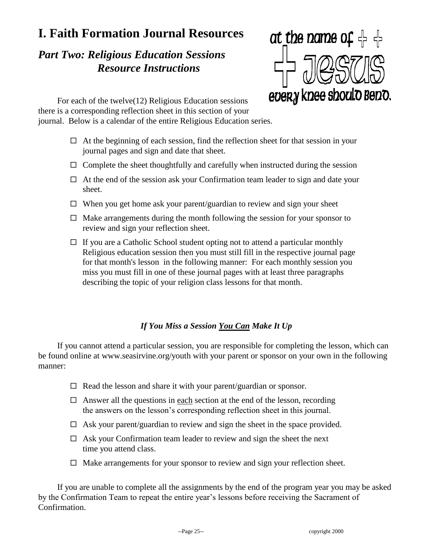# *Part Two: Religious Education Sessions Resource Instructions*



For each of the twelve(12) Religious Education sessions there is a corresponding reflection sheet in this section of your journal. Below is a calendar of the entire Religious Education series.

- $\Box$  At the beginning of each session, find the reflection sheet for that session in your journal pages and sign and date that sheet.
- $\Box$  Complete the sheet thoughtfully and carefully when instructed during the session
- $\Box$  At the end of the session ask your Confirmation team leader to sign and date your sheet.
- $\Box$  When you get home ask your parent/guardian to review and sign your sheet
- $\Box$  Make arrangements during the month following the session for your sponsor to review and sign your reflection sheet.
- $\Box$  If you are a Catholic School student opting not to attend a particular monthly Religious education session then you must still fill in the respective journal page for that month's lesson in the following manner: For each monthly session you miss you must fill in one of these journal pages with at least three paragraphs describing the topic of your religion class lessons for that month.

## *If You Miss a Session You Can Make It Up*

If you cannot attend a particular session, you are responsible for completing the lesson, which can be found online at www.seasirvine.org/youth with your parent or sponsor on your own in the following manner:

- $\Box$  Read the lesson and share it with your parent/guardian or sponsor.
- $\Box$  Answer all the questions in each section at the end of the lesson, recording the answers on the lesson's corresponding reflection sheet in this journal.
- $\Box$  Ask your parent/guardian to review and sign the sheet in the space provided.
- $\Box$  Ask your Confirmation team leader to review and sign the sheet the next time you attend class.
- $\Box$  Make arrangements for your sponsor to review and sign your reflection sheet.

If you are unable to complete all the assignments by the end of the program year you may be asked by the Confirmation Team to repeat the entire year's lessons before receiving the Sacrament of Confirmation.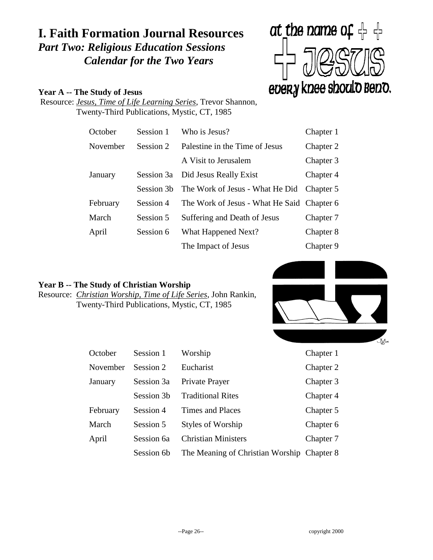# **I. Faith Formation Journal Resources** *Part Two: Religious Education Sessions Calendar for the Two Years*

#### **Year A -- The Study of Jesus**

at the name of  $\frac{1}{2}$ every knee should Beno.

Resource: *Jesus, Time of Life Learning Series*, Trevor Shannon, Twenty-Third Publications, Mystic, CT, 1985

| October  | Session 1  | Who is Jesus?                              | Chapter 1 |
|----------|------------|--------------------------------------------|-----------|
| November | Session 2  | Palestine in the Time of Jesus             | Chapter 2 |
|          |            | A Visit to Jerusalem                       | Chapter 3 |
| January  | Session 3a | Did Jesus Really Exist                     | Chapter 4 |
|          | Session 3b | The Work of Jesus - What He Did            | Chapter 5 |
| February | Session 4  | The Work of Jesus - What He Said Chapter 6 |           |
| March    | Session 5  | Suffering and Death of Jesus               | Chapter 7 |
| April    | Session 6  | What Happened Next?                        | Chapter 8 |
|          |            | The Impact of Jesus                        | Chapter 9 |

#### **Year B -- The Study of Christian Worship**

Resource: *Christian Worship, Time of Life Series*, John Rankin, Twenty-Third Publications, Mystic, CT, 1985



| October  | Session 1  | Worship                                    | Chapter 1 |
|----------|------------|--------------------------------------------|-----------|
| November | Session 2  | Eucharist                                  | Chapter 2 |
| January  | Session 3a | Private Prayer                             | Chapter 3 |
|          | Session 3b | <b>Traditional Rites</b>                   | Chapter 4 |
| February | Session 4  | <b>Times and Places</b>                    | Chapter 5 |
| March    | Session 5  | <b>Styles of Worship</b>                   | Chapter 6 |
| April    | Session 6a | <b>Christian Ministers</b>                 | Chapter 7 |
|          | Session 6b | The Meaning of Christian Worship Chapter 8 |           |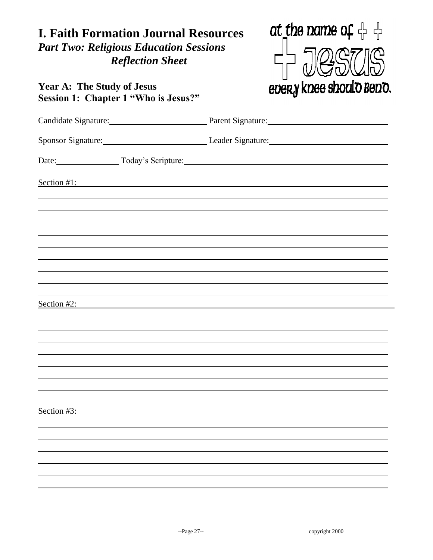# **I. Faith Formation Journal Resources** *Part Two: Religious Education Sessions Reflection Sheet*



## **Year A: The Study of Jesus Session 1: Chapter 1 "Who is Jesus?"**

|             |                | Candidate Signature: Parent Signature: Parent Signature: |
|-------------|----------------|----------------------------------------------------------|
|             |                | Sponsor Signature: Leader Signature: Leader Signature:   |
|             |                | Date: Today's Scripture:                                 |
|             |                | Section #1:                                              |
|             |                |                                                          |
|             |                |                                                          |
|             |                |                                                          |
|             |                |                                                          |
|             |                |                                                          |
|             | Section $#2$ : |                                                          |
|             |                |                                                          |
|             |                |                                                          |
|             |                |                                                          |
|             |                |                                                          |
| Section #3: |                |                                                          |
|             |                |                                                          |
|             |                |                                                          |
|             |                |                                                          |
|             |                |                                                          |
|             |                |                                                          |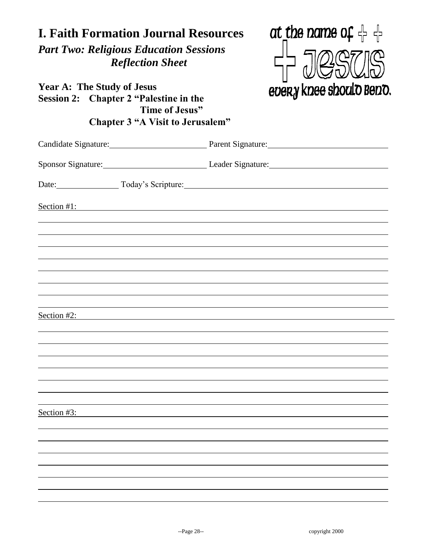| <b>I. Faith Formation Journal Resources</b><br><b>Part Two: Religious Education Sessions</b><br><b>Reflection Sheet</b><br><b>Year A: The Study of Jesus</b><br>Session 2: Chapter 2 "Palestine in the<br>Time of Jesus"<br><b>Chapter 3 "A Visit to Jerusalem"</b> | at the name of $\frac{1}{1}$<br>every knee should Bend.  |
|---------------------------------------------------------------------------------------------------------------------------------------------------------------------------------------------------------------------------------------------------------------------|----------------------------------------------------------|
|                                                                                                                                                                                                                                                                     | Candidate Signature: Parent Signature: Parent Signature: |
|                                                                                                                                                                                                                                                                     | Sponsor Signature: Leader Signature: Leader Signature:   |
|                                                                                                                                                                                                                                                                     | Date: Today's Scripture: Today's Scripture:              |
| Section #1:<br>Section #2:<br>Section #3:                                                                                                                                                                                                                           |                                                          |
|                                                                                                                                                                                                                                                                     |                                                          |
|                                                                                                                                                                                                                                                                     |                                                          |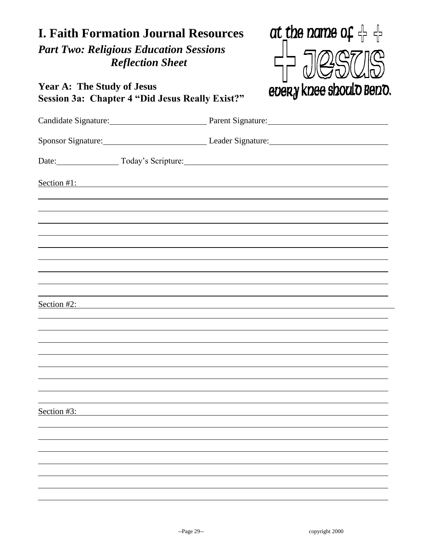# at the name of  $\frac{1}{1}$ **I. Faith Formation Journal Resources** *Part Two: Religious Education Sessions Reflection Sheet* **Year A: The Study of Jesus** every knee should Beno. **Session 3a: Chapter 4 "Did Jesus Really Exist?"** Candidate Signature: Parent Signature: Sponsor Signature: Leader Signature: Date: Today's Scripture: Section #1: Section #2: Section #3: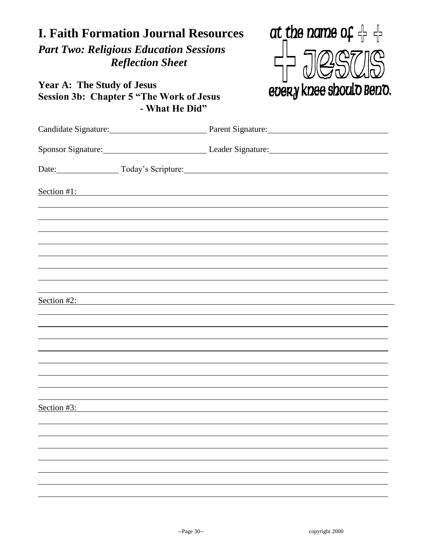# at the name of  $\frac{1}{1}$ **I. Faith Formation Journal Resources** *Part Two: Religious Education Sessions Reflection Sheet* **Year A: The Study of Jesus** every knee shoulo Beno. **Session 3b: Chapter 5 "The Work of Jesus - What He Did"** Candidate Signature: Parent Signature: Sponsor Signature: Leader Signature: Leader Signature: Date: Today's Scripture: Section #1: Section #2: Section #3: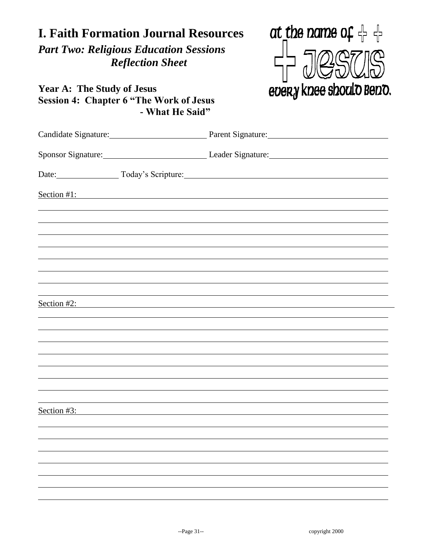| <b>I. Faith Formation Journal Resources</b><br><b>Part Two: Religious Education Sessions</b><br><b>Reflection Sheet</b><br><b>Year A: The Study of Jesus</b><br><b>Session 4: Chapter 6 "The Work of Jesus</b><br>- What He Said" | at the name of $\frac{1}{2}$<br>every knee should Bend.                          |
|-----------------------------------------------------------------------------------------------------------------------------------------------------------------------------------------------------------------------------------|----------------------------------------------------------------------------------|
|                                                                                                                                                                                                                                   | Candidate Signature: Parent Signature: Parent Signature:                         |
|                                                                                                                                                                                                                                   | Sponsor Signature: Leader Signature: Leader Signature:                           |
|                                                                                                                                                                                                                                   | Date: Today's Scripture:                                                         |
| Section #1:<br>Section $#2$ :<br>Section #3:                                                                                                                                                                                      | ,我们也不会有什么。""我们的人,我们也不会有什么?""我们的人,我们也不会有什么?""我们的人,我们也不会有什么?""我们的人,我们也不会有什么?""我们的人 |
|                                                                                                                                                                                                                                   |                                                                                  |
|                                                                                                                                                                                                                                   |                                                                                  |
|                                                                                                                                                                                                                                   |                                                                                  |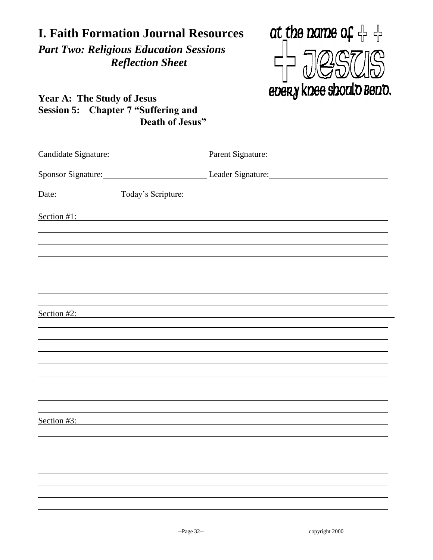| <b>I. Faith Formation Journal Resources</b><br><b>Part Two: Religious Education Sessions</b><br><b>Reflection Sheet</b><br><b>Year A: The Study of Jesus</b><br><b>Session 5: Chapter 7 "Suffering and</b><br>Death of Jesus" | at the name of $\frac{1}{1}$<br>every knee should Bend.                          |
|-------------------------------------------------------------------------------------------------------------------------------------------------------------------------------------------------------------------------------|----------------------------------------------------------------------------------|
|                                                                                                                                                                                                                               | Candidate Signature: Parent Signature: Parent Signature:                         |
|                                                                                                                                                                                                                               | Sponsor Signature: Leader Signature: Leader Signature:                           |
|                                                                                                                                                                                                                               | Date: Today's Scripture: Today's Scripture.                                      |
| Section #1:<br>Section #2:<br>Section #3:                                                                                                                                                                                     | ,我们也不会有什么。""我们的人,我们也不会有什么?""我们的人,我们也不会有什么?""我们的人,我们也不会有什么?""我们的人,我们也不会有什么?""我们的人 |
|                                                                                                                                                                                                                               |                                                                                  |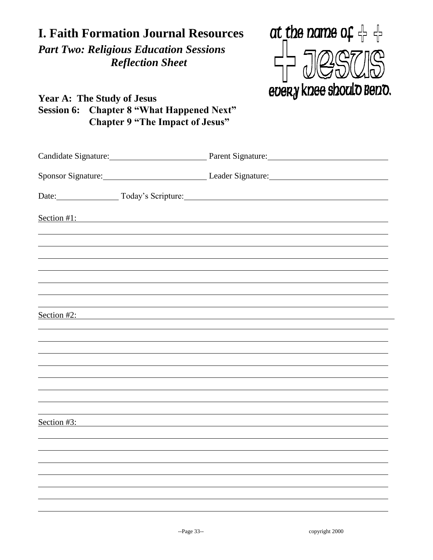| <b>I. Faith Formation Journal Resources</b><br><b>Part Two: Religious Education Sessions</b><br><b>Reflection Sheet</b><br><b>Year A: The Study of Jesus</b><br><b>Session 6: Chapter 8 "What Happened Next"</b><br><b>Chapter 9 "The Impact of Jesus"</b> |  | at the name of $\frac{1}{1}$<br>every knee should Bend. |
|------------------------------------------------------------------------------------------------------------------------------------------------------------------------------------------------------------------------------------------------------------|--|---------------------------------------------------------|
| Candidate Signature: Parent Signature: Parent Signature:                                                                                                                                                                                                   |  |                                                         |
| Sponsor Signature: Leader Signature: Leader Signature:                                                                                                                                                                                                     |  |                                                         |
| Date: Today's Scripture:                                                                                                                                                                                                                                   |  |                                                         |
| Section #1:<br>Section #2:<br><u> 1989 - Johann Stein, mars an deutscher Stein († 1989)</u>                                                                                                                                                                |  |                                                         |
| Section #3:                                                                                                                                                                                                                                                |  |                                                         |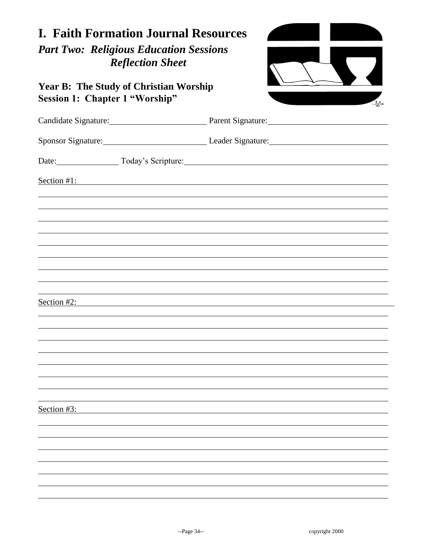| <b>Year B: The Study of Christian Worship</b><br><b>Session 1: Chapter 1 "Worship"</b> |                                                          |
|----------------------------------------------------------------------------------------|----------------------------------------------------------|
|                                                                                        | JAs                                                      |
|                                                                                        | Candidate Signature: Parent Signature: Parent Signature: |
|                                                                                        | Sponsor Signature: Leader Signature: Leader Signature:   |
|                                                                                        | Date: Today's Scripture:                                 |
| Section #1:                                                                            |                                                          |
|                                                                                        |                                                          |
|                                                                                        |                                                          |
|                                                                                        |                                                          |
|                                                                                        |                                                          |
|                                                                                        |                                                          |
| Section #2:                                                                            |                                                          |
|                                                                                        |                                                          |
|                                                                                        |                                                          |
|                                                                                        |                                                          |
|                                                                                        |                                                          |
|                                                                                        |                                                          |
| Section #3:                                                                            |                                                          |
|                                                                                        |                                                          |
|                                                                                        |                                                          |
|                                                                                        |                                                          |
|                                                                                        |                                                          |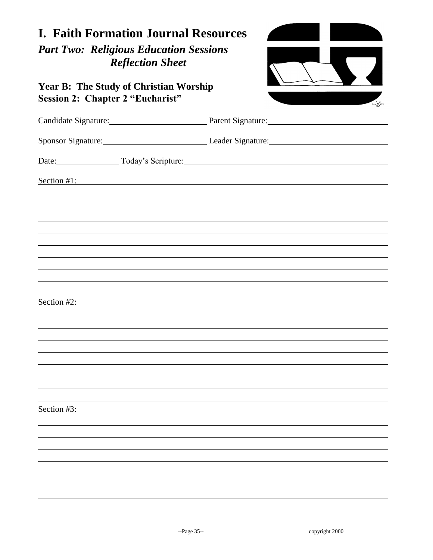| <b>I. Faith Formation Journal Resources</b><br><b>Part Two: Religious Education Sessions</b><br><b>Reflection Sheet</b> |                                                          |
|-------------------------------------------------------------------------------------------------------------------------|----------------------------------------------------------|
| <b>Year B: The Study of Christian Worship</b><br><b>Session 2: Chapter 2 "Eucharist"</b>                                | <b>J</b> A*                                              |
|                                                                                                                         | Candidate Signature: Parent Signature: Parent Signature: |
|                                                                                                                         | Sponsor Signature: Leader Signature: Leader Signature:   |
|                                                                                                                         | Date: Today's Scripture: Today's Scripture.              |
| Section #1:                                                                                                             |                                                          |
|                                                                                                                         |                                                          |
|                                                                                                                         |                                                          |
|                                                                                                                         |                                                          |
|                                                                                                                         |                                                          |
|                                                                                                                         |                                                          |
| Section #2:                                                                                                             |                                                          |
|                                                                                                                         |                                                          |
|                                                                                                                         |                                                          |
|                                                                                                                         |                                                          |
|                                                                                                                         |                                                          |
|                                                                                                                         |                                                          |
| Section #3:                                                                                                             |                                                          |
|                                                                                                                         |                                                          |
|                                                                                                                         |                                                          |
|                                                                                                                         |                                                          |
|                                                                                                                         |                                                          |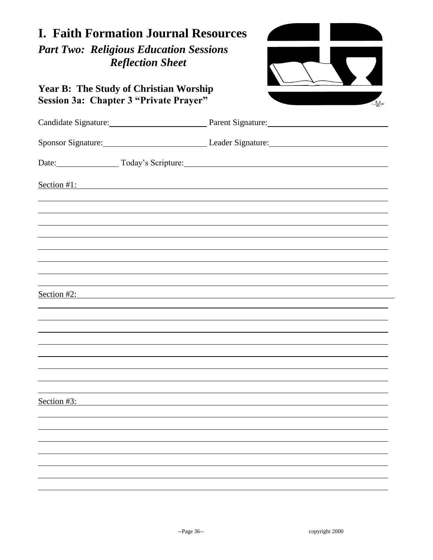| <b>I. Faith Formation Journal Resources</b><br><b>Part Two: Religious Education Sessions</b><br><b>Reflection Sheet</b> |                                                          |  |
|-------------------------------------------------------------------------------------------------------------------------|----------------------------------------------------------|--|
| <b>Year B: The Study of Christian Worship</b><br>Session 3a: Chapter 3 "Private Prayer"                                 | JA*                                                      |  |
|                                                                                                                         | Candidate Signature: Parent Signature: Parent Signature: |  |
|                                                                                                                         | Sponsor Signature: Leader Signature: Leader Signature:   |  |
|                                                                                                                         | Date: Today's Scripture: Today's Scripture.              |  |
| Section #1:                                                                                                             |                                                          |  |
|                                                                                                                         |                                                          |  |
|                                                                                                                         |                                                          |  |
|                                                                                                                         |                                                          |  |
|                                                                                                                         | Section #2:                                              |  |
|                                                                                                                         |                                                          |  |
|                                                                                                                         |                                                          |  |
|                                                                                                                         |                                                          |  |
|                                                                                                                         |                                                          |  |
| Section #3:                                                                                                             |                                                          |  |
|                                                                                                                         |                                                          |  |
|                                                                                                                         |                                                          |  |
|                                                                                                                         |                                                          |  |
|                                                                                                                         |                                                          |  |
|                                                                                                                         |                                                          |  |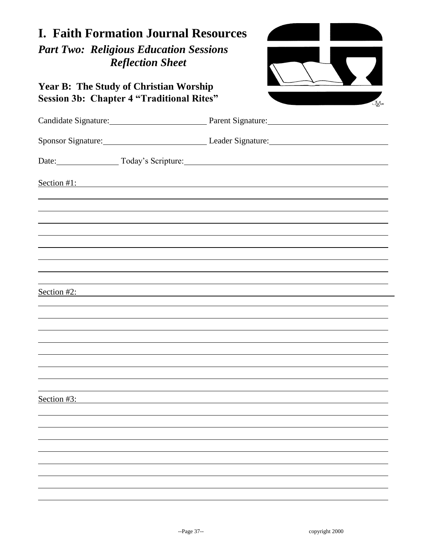| <b>I. Faith Formation Journal Resources</b><br><b>Part Two: Religious Education Sessions</b><br><b>Reflection Sheet</b><br><b>Year B: The Study of Christian Worship</b><br><b>Session 3b: Chapter 4 "Traditional Rites"</b><br>JA* |                                                          |  |  |  |
|-------------------------------------------------------------------------------------------------------------------------------------------------------------------------------------------------------------------------------------|----------------------------------------------------------|--|--|--|
|                                                                                                                                                                                                                                     | Candidate Signature: Parent Signature: Parent Signature: |  |  |  |
|                                                                                                                                                                                                                                     | Sponsor Signature: Leader Signature: Leader Signature:   |  |  |  |
|                                                                                                                                                                                                                                     | Date: Today's Scripture: Today's Scripture.              |  |  |  |
| Section #2:                                                                                                                                                                                                                         | Section $#1$ :                                           |  |  |  |
|                                                                                                                                                                                                                                     |                                                          |  |  |  |
| Section #3:                                                                                                                                                                                                                         |                                                          |  |  |  |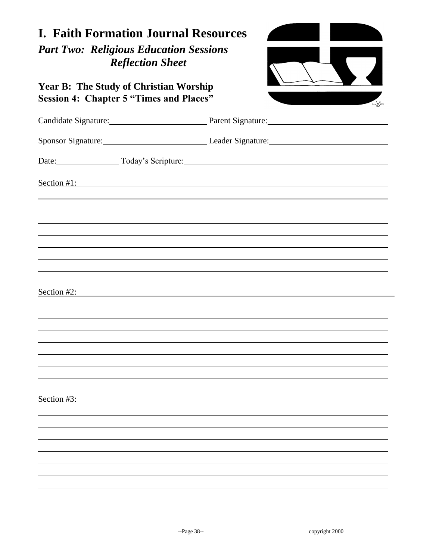| <b>I. Faith Formation Journal Resources</b><br><b>Part Two: Religious Education Sessions</b><br><b>Reflection Sheet</b><br><b>Year B: The Study of Christian Worship</b><br><b>Session 4: Chapter 5 "Times and Places"</b><br>JXb4 |                                                          |  |  |  |
|------------------------------------------------------------------------------------------------------------------------------------------------------------------------------------------------------------------------------------|----------------------------------------------------------|--|--|--|
|                                                                                                                                                                                                                                    | Candidate Signature: Parent Signature: Parent Signature: |  |  |  |
|                                                                                                                                                                                                                                    | Sponsor Signature: Leader Signature: Leader Signature:   |  |  |  |
|                                                                                                                                                                                                                                    | Date: Today's Scripture: Today's Scripture:              |  |  |  |
|                                                                                                                                                                                                                                    | Section #1:                                              |  |  |  |
|                                                                                                                                                                                                                                    |                                                          |  |  |  |
|                                                                                                                                                                                                                                    |                                                          |  |  |  |
|                                                                                                                                                                                                                                    |                                                          |  |  |  |
|                                                                                                                                                                                                                                    |                                                          |  |  |  |
| Section #2:                                                                                                                                                                                                                        |                                                          |  |  |  |
|                                                                                                                                                                                                                                    |                                                          |  |  |  |
|                                                                                                                                                                                                                                    |                                                          |  |  |  |
|                                                                                                                                                                                                                                    |                                                          |  |  |  |
|                                                                                                                                                                                                                                    |                                                          |  |  |  |
|                                                                                                                                                                                                                                    |                                                          |  |  |  |
| Section #3:                                                                                                                                                                                                                        |                                                          |  |  |  |
|                                                                                                                                                                                                                                    |                                                          |  |  |  |
|                                                                                                                                                                                                                                    |                                                          |  |  |  |
|                                                                                                                                                                                                                                    |                                                          |  |  |  |
|                                                                                                                                                                                                                                    |                                                          |  |  |  |
|                                                                                                                                                                                                                                    |                                                          |  |  |  |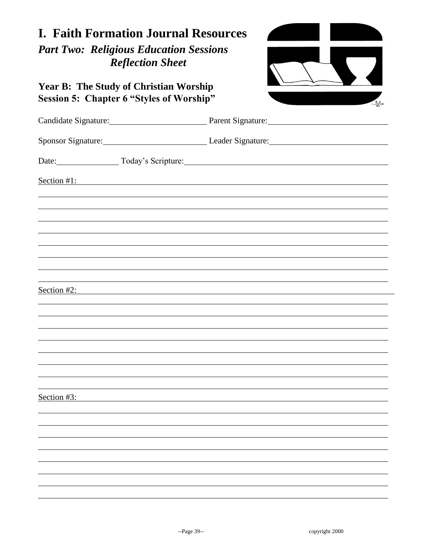| <b>I. Faith Formation Journal Resources</b><br><b>Part Two: Religious Education Sessions</b><br><b>Reflection Sheet</b> |                                                             |  |  |  |
|-------------------------------------------------------------------------------------------------------------------------|-------------------------------------------------------------|--|--|--|
| <b>Year B: The Study of Christian Worship</b><br><b>Session 5: Chapter 6 "Styles of Worship"</b>                        | JXb4                                                        |  |  |  |
|                                                                                                                         | Candidate Signature: Parent Signature: Parent Signature:    |  |  |  |
|                                                                                                                         | Sponsor Signature: Leader Signature: Leader Signature:      |  |  |  |
|                                                                                                                         | Date: Today's Scripture: Today's Scripture.                 |  |  |  |
| Section $#1$ :                                                                                                          | <u> 1989 - Johann Stoff, amerikansk politiker (d. 1989)</u> |  |  |  |
|                                                                                                                         |                                                             |  |  |  |
|                                                                                                                         |                                                             |  |  |  |
|                                                                                                                         |                                                             |  |  |  |
|                                                                                                                         |                                                             |  |  |  |
|                                                                                                                         |                                                             |  |  |  |
| Section #2:                                                                                                             |                                                             |  |  |  |
|                                                                                                                         |                                                             |  |  |  |
|                                                                                                                         |                                                             |  |  |  |
|                                                                                                                         |                                                             |  |  |  |
|                                                                                                                         |                                                             |  |  |  |
|                                                                                                                         |                                                             |  |  |  |
| Section $#3$ :                                                                                                          |                                                             |  |  |  |
|                                                                                                                         |                                                             |  |  |  |
|                                                                                                                         |                                                             |  |  |  |
|                                                                                                                         |                                                             |  |  |  |
|                                                                                                                         |                                                             |  |  |  |
|                                                                                                                         |                                                             |  |  |  |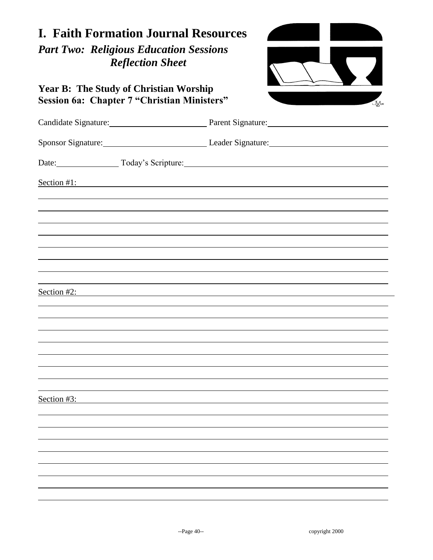| <b>I. Faith Formation Journal Resources</b><br><b>Part Two: Religious Education Sessions</b><br><b>Reflection Sheet</b> |                                                          |  |  |  |
|-------------------------------------------------------------------------------------------------------------------------|----------------------------------------------------------|--|--|--|
| <b>Year B: The Study of Christian Worship</b><br><b>Session 6a: Chapter 7 "Christian Ministers"</b>                     | <b>J</b> A*                                              |  |  |  |
|                                                                                                                         | Candidate Signature: Parent Signature: Parent Signature: |  |  |  |
|                                                                                                                         | Sponsor Signature: Leader Signature: Leader Signature:   |  |  |  |
|                                                                                                                         | Date: Today's Scripture: Today's Scripture:              |  |  |  |
|                                                                                                                         | Section #1:                                              |  |  |  |
|                                                                                                                         |                                                          |  |  |  |
|                                                                                                                         |                                                          |  |  |  |
|                                                                                                                         |                                                          |  |  |  |
|                                                                                                                         |                                                          |  |  |  |
|                                                                                                                         |                                                          |  |  |  |
| Section #2:                                                                                                             |                                                          |  |  |  |
|                                                                                                                         |                                                          |  |  |  |
|                                                                                                                         |                                                          |  |  |  |
|                                                                                                                         |                                                          |  |  |  |
|                                                                                                                         |                                                          |  |  |  |
| Section #3:                                                                                                             |                                                          |  |  |  |
|                                                                                                                         |                                                          |  |  |  |
|                                                                                                                         |                                                          |  |  |  |
|                                                                                                                         |                                                          |  |  |  |
|                                                                                                                         |                                                          |  |  |  |
|                                                                                                                         |                                                          |  |  |  |
|                                                                                                                         |                                                          |  |  |  |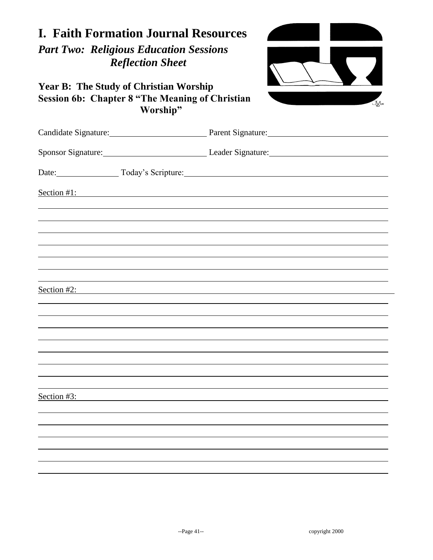| <b>I. Faith Formation Journal Resources</b><br><b>Part Two: Religious Education Sessions</b><br><b>Reflection Sheet</b> |                                                          |
|-------------------------------------------------------------------------------------------------------------------------|----------------------------------------------------------|
| <b>Year B: The Study of Christian Worship</b><br><b>Session 6b: Chapter 8 "The Meaning of Christian</b><br>Worship"     | JAX                                                      |
|                                                                                                                         | Candidate Signature: Parent Signature: Parent Signature: |
|                                                                                                                         | Sponsor Signature: Leader Signature: Leader Signature:   |
|                                                                                                                         | Date: Today's Scripture:                                 |
| Section #1:                                                                                                             |                                                          |
|                                                                                                                         |                                                          |
|                                                                                                                         |                                                          |
|                                                                                                                         |                                                          |
|                                                                                                                         |                                                          |
| Section $#2$ :                                                                                                          |                                                          |
|                                                                                                                         |                                                          |
|                                                                                                                         |                                                          |
|                                                                                                                         |                                                          |
|                                                                                                                         |                                                          |
| Section #3:                                                                                                             |                                                          |
|                                                                                                                         |                                                          |
|                                                                                                                         |                                                          |
|                                                                                                                         |                                                          |
|                                                                                                                         |                                                          |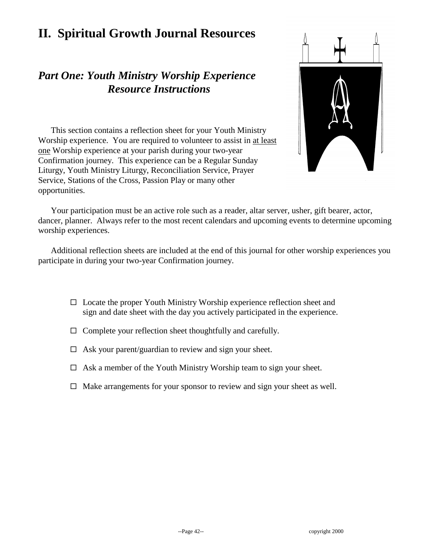# **II. Spiritual Growth Journal Resources**

#### *Part One: Youth Ministry Worship Experience Resource Instructions*



This section contains a reflection sheet for your Youth Ministry Worship experience. You are required to volunteer to assist in at least one Worship experience at your parish during your two-year Confirmation journey. This experience can be a Regular Sunday Liturgy, Youth Ministry Liturgy, Reconciliation Service, Prayer Service, Stations of the Cross, Passion Play or many other opportunities.

Your participation must be an active role such as a reader, altar server, usher, gift bearer, actor, dancer, planner. Always refer to the most recent calendars and upcoming events to determine upcoming worship experiences.

Additional reflection sheets are included at the end of this journal for other worship experiences you participate in during your two-year Confirmation journey.

- $\Box$  Locate the proper Youth Ministry Worship experience reflection sheet and sign and date sheet with the day you actively participated in the experience.
- $\Box$  Complete your reflection sheet thoughtfully and carefully.
- $\Box$  Ask your parent/guardian to review and sign your sheet.
- $\Box$  Ask a member of the Youth Ministry Worship team to sign your sheet.
- $\Box$  Make arrangements for your sponsor to review and sign your sheet as well.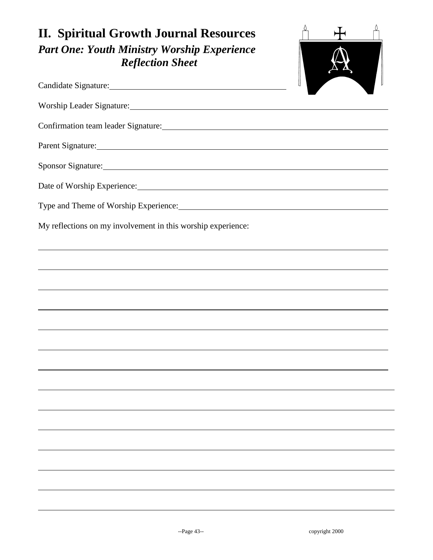| <b>II. Spiritual Growth Journal Resources</b><br><b>Part One: Youth Ministry Worship Experience</b><br><b>Reflection Sheet</b>                                                                                                 |  |
|--------------------------------------------------------------------------------------------------------------------------------------------------------------------------------------------------------------------------------|--|
|                                                                                                                                                                                                                                |  |
|                                                                                                                                                                                                                                |  |
| Confirmation team leader Signature: Manual Manual Account of the Account of the Account of the Account of the Account of the Account of the Account of the Account of the Account of the Account of the Account of the Account |  |
|                                                                                                                                                                                                                                |  |
| Sponsor Signature:                                                                                                                                                                                                             |  |
|                                                                                                                                                                                                                                |  |
|                                                                                                                                                                                                                                |  |
| My reflections on my involvement in this worship experience:                                                                                                                                                                   |  |
|                                                                                                                                                                                                                                |  |
|                                                                                                                                                                                                                                |  |
|                                                                                                                                                                                                                                |  |
|                                                                                                                                                                                                                                |  |
|                                                                                                                                                                                                                                |  |
|                                                                                                                                                                                                                                |  |
|                                                                                                                                                                                                                                |  |
|                                                                                                                                                                                                                                |  |
|                                                                                                                                                                                                                                |  |
|                                                                                                                                                                                                                                |  |
|                                                                                                                                                                                                                                |  |
|                                                                                                                                                                                                                                |  |
|                                                                                                                                                                                                                                |  |
|                                                                                                                                                                                                                                |  |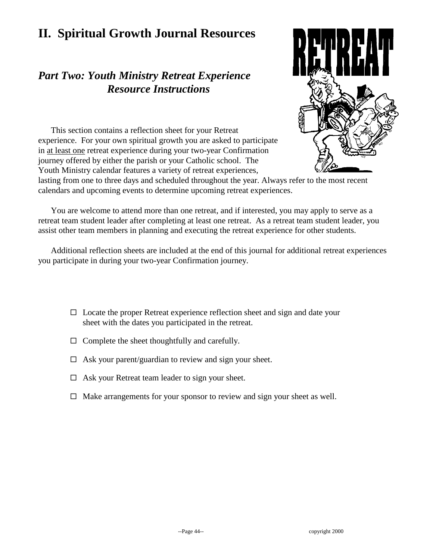# **II. Spiritual Growth Journal Resources**

#### *Part Two: Youth Ministry Retreat Experience Resource Instructions*



This section contains a reflection sheet for your Retreat experience. For your own spiritual growth you are asked to participate in at least one retreat experience during your two-year Confirmation journey offered by either the parish or your Catholic school. The Youth Ministry calendar features a variety of retreat experiences,

lasting from one to three days and scheduled throughout the year. Always refer to the most recent calendars and upcoming events to determine upcoming retreat experiences.

You are welcome to attend more than one retreat, and if interested, you may apply to serve as a retreat team student leader after completing at least one retreat. As a retreat team student leader, you assist other team members in planning and executing the retreat experience for other students.

Additional reflection sheets are included at the end of this journal for additional retreat experiences you participate in during your two-year Confirmation journey.

- $\Box$  Locate the proper Retreat experience reflection sheet and sign and date your sheet with the dates you participated in the retreat.
- $\Box$  Complete the sheet thoughtfully and carefully.
- $\Box$  Ask your parent/guardian to review and sign your sheet.
- $\Box$  Ask your Retreat team leader to sign your sheet.
- $\Box$  Make arrangements for your sponsor to review and sign your sheet as well.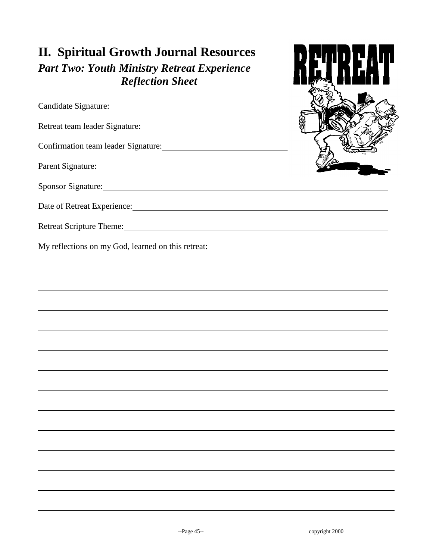# **II. Spiritual Growth Journal Resources**

*Part Two: Youth Ministry Retreat Experience Reflection Sheet*

Candidate Signature:

Retreat team leader Signature: Manual Manual Manual Manual Manual Manual Manual Manual Manual Manual Manual Ma

Confirmation team leader Signature:

Sponsor Signature: Sponsor Signature:

Parent Signature:



Date of Retreat Experience:

Retreat Scripture Theme: **Example 2018 Retreat Scripture Theme: Example 2018 Retreat Scripture Theme: Example 2019 Retreat Scripture Theme: Example 2019 Retreat Scripture Theme: Example 2019 Retreat Scrip** 

My reflections on my God, learned on this retreat: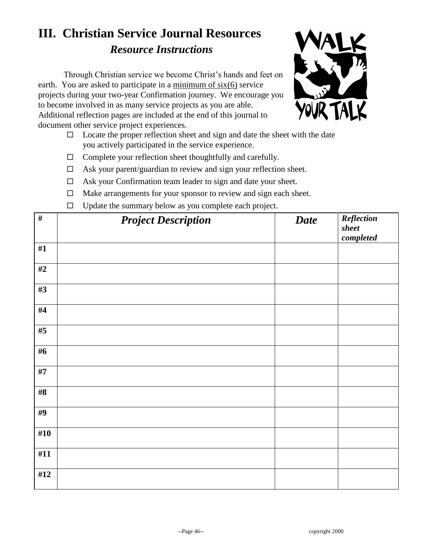# **III. Christian Service Journal Resources** *Resource Instructions*

Through Christian service we become Christ's hands and feet on earth. You are asked to participate in a minimum of six(6) service projects during your two-year Confirmation journey. We encourage you to become involved in as many service projects as you are able. Additional reflection pages are included at the end of this journal to document other service project experiences.



- $\Box$  Locate the proper reflection sheet and sign and date the sheet with the date you actively participated in the service experience.
- $\Box$  Complete your reflection sheet thoughtfully and carefully.
- $\Box$  Ask your parent/guardian to review and sign your reflection sheet.
- $\Box$  Ask your Confirmation team leader to sign and date your sheet.
- $\Box$  Make arrangements for your sponsor to review and sign each sheet.
- $\Box$  Undate the summary below as you complete each project.

| $\#$   | $-1$<br>$\mathbf{r}$<br>$\mathbf{r}$ and $\mathbf{r}$ and $\mathbf{r}$<br><b>Project Description</b> | <b>Date</b> | Reflection<br>sheet<br>$\emph{completed}$ |
|--------|------------------------------------------------------------------------------------------------------|-------------|-------------------------------------------|
| #1     |                                                                                                      |             |                                           |
| $\#2$  |                                                                                                      |             |                                           |
| #3     |                                                                                                      |             |                                           |
| #4     |                                                                                                      |             |                                           |
| #5     |                                                                                                      |             |                                           |
| #6     |                                                                                                      |             |                                           |
| #7     |                                                                                                      |             |                                           |
| $\#8$  |                                                                                                      |             |                                           |
| #9     |                                                                                                      |             |                                           |
| #10    |                                                                                                      |             |                                           |
| #11    |                                                                                                      |             |                                           |
| $\#12$ |                                                                                                      |             |                                           |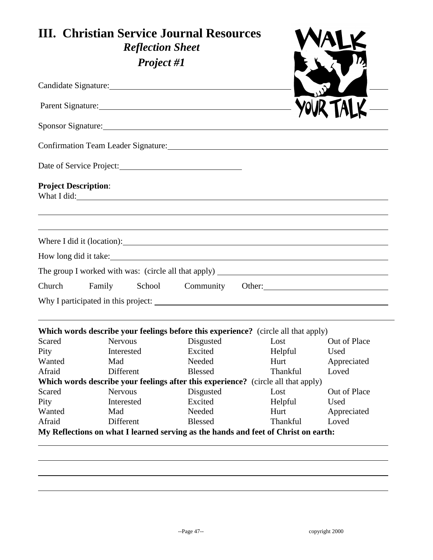|                             | <b>III. Christian Service Journal Resources</b><br><b>Reflection Sheet</b>                                      |                      |                                                                                    |                      |
|-----------------------------|-----------------------------------------------------------------------------------------------------------------|----------------------|------------------------------------------------------------------------------------|----------------------|
|                             | <b>Project #1</b>                                                                                               |                      |                                                                                    |                      |
|                             |                                                                                                                 |                      |                                                                                    |                      |
|                             | Parent Signature:                                                                                               |                      |                                                                                    |                      |
|                             |                                                                                                                 |                      |                                                                                    |                      |
|                             | Confirmation Team Leader Signature: Manual Manual Manual Manual Manual Manual Manual Manual Manual Manual Manua |                      |                                                                                    |                      |
|                             |                                                                                                                 |                      |                                                                                    |                      |
| <b>Project Description:</b> | What I did:                                                                                                     |                      |                                                                                    |                      |
|                             |                                                                                                                 |                      |                                                                                    |                      |
|                             | How long did it take:                                                                                           |                      |                                                                                    |                      |
|                             |                                                                                                                 |                      |                                                                                    |                      |
| Church                      | Family                                                                                                          |                      | School Community Other: 2000 Community Other:                                      |                      |
|                             |                                                                                                                 |                      |                                                                                    |                      |
|                             | Which words describe your feelings before this experience? (circle all that apply)                              |                      |                                                                                    |                      |
| Scared<br>Pity              | Nervous<br>Interested                                                                                           | Disgusted<br>Excited | Lost<br>Helpful                                                                    | Out of Place<br>Used |
| Wanted                      | Mad                                                                                                             | Needed               | Hurt                                                                               | Appreciated          |
| Afraid                      | Different                                                                                                       | <b>Blessed</b>       | Thankful                                                                           | Loved                |
|                             | Which words describe your feelings after this experience? (circle all that apply)                               |                      |                                                                                    |                      |
| Scared                      | <b>Nervous</b>                                                                                                  | Disgusted            | Lost                                                                               | Out of Place         |
| Pity                        | Interested                                                                                                      | Excited              | Helpful                                                                            | Used                 |
| Wanted                      | Mad                                                                                                             | Needed               | Hurt                                                                               | Appreciated          |
|                             | Different                                                                                                       | <b>Blessed</b>       | Thankful                                                                           | Loved                |
| Afraid                      |                                                                                                                 |                      | My Reflections on what I learned serving as the hands and feet of Christ on earth: |                      |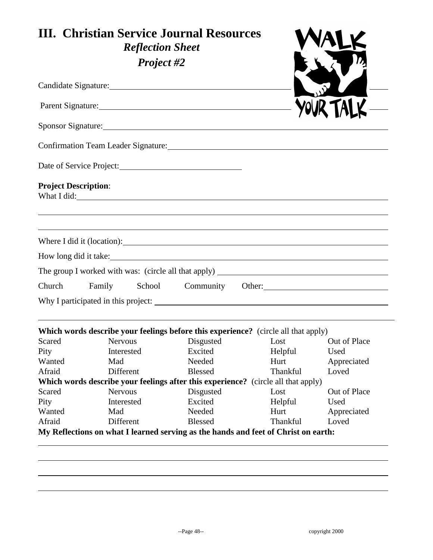|                             | <b>III. Christian Service Journal Resources</b><br><b>Reflection Sheet</b>                                      |                   |                 |                     |
|-----------------------------|-----------------------------------------------------------------------------------------------------------------|-------------------|-----------------|---------------------|
|                             | <b>Project #2</b>                                                                                               |                   |                 |                     |
|                             |                                                                                                                 |                   |                 |                     |
|                             | Parent Signature: 2008 and 2008 and 2008 and 2008 and 2008 and 2008 and 2008 and 2008 and 2008 and 2008 and 200 |                   |                 |                     |
|                             |                                                                                                                 |                   |                 |                     |
|                             |                                                                                                                 |                   |                 |                     |
|                             | Date of Service Project:                                                                                        |                   |                 |                     |
| <b>Project Description:</b> | What I did:                                                                                                     |                   |                 |                     |
|                             |                                                                                                                 |                   |                 |                     |
|                             | How long did it take:                                                                                           |                   |                 |                     |
|                             |                                                                                                                 |                   |                 |                     |
| Church                      | Family School Community Other:                                                                                  |                   |                 |                     |
|                             | Why I participated in this project:                                                                             |                   |                 |                     |
|                             | Which words describe your feelings before this experience? (circle all that apply)                              |                   |                 |                     |
| Scared                      | <b>Nervous</b>                                                                                                  | Disgusted         | Lost            | Out of Place        |
| Pity<br>Wanted              | Interested<br>Mad                                                                                               | Excited<br>Needed | Helpful<br>Hurt | Used<br>Appreciated |
| Afraid                      | Different                                                                                                       | <b>Blessed</b>    | Thankful        | Loved               |
|                             | Which words describe your feelings after this experience? (circle all that apply)                               |                   |                 |                     |
| Scared                      | <b>Nervous</b>                                                                                                  | Disgusted         | Lost            | Out of Place        |
| Pity                        | Interested                                                                                                      | Excited           | Helpful         | Used                |
| Wanted                      | Mad                                                                                                             | Needed            | Hurt            | Appreciated         |
|                             | Different                                                                                                       | <b>Blessed</b>    | Thankful        | Loved               |
| Afraid                      |                                                                                                                 |                   |                 |                     |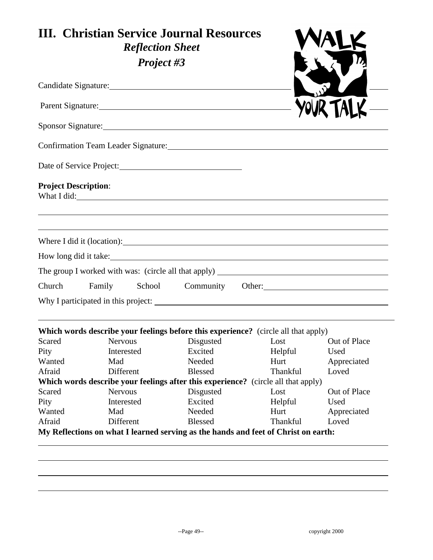|                             | <b>III. Christian Service Journal Resources</b><br><b>Reflection Sheet</b> |                |                                                                                           |              |
|-----------------------------|----------------------------------------------------------------------------|----------------|-------------------------------------------------------------------------------------------|--------------|
|                             | Project #3                                                                 |                |                                                                                           |              |
|                             |                                                                            |                |                                                                                           |              |
|                             | Parent Signature:                                                          |                |                                                                                           |              |
|                             |                                                                            |                |                                                                                           |              |
|                             |                                                                            |                | Confirmation Team Leader Signature: University of the Confirmation Team Leader Signature: |              |
|                             | Date of Service Project:                                                   |                |                                                                                           |              |
| <b>Project Description:</b> |                                                                            |                |                                                                                           |              |
|                             |                                                                            |                | Where I did it (location):                                                                |              |
|                             | How long did it take:                                                      |                |                                                                                           |              |
|                             |                                                                            |                |                                                                                           |              |
|                             |                                                                            |                |                                                                                           |              |
| Church                      | Family                                                                     |                | School Community Other: 2000 Community Other:                                             |              |
|                             |                                                                            |                |                                                                                           |              |
|                             |                                                                            |                | Which words describe your feelings before this experience? (circle all that apply)        |              |
| Scared                      | Nervous                                                                    | Disgusted      | Lost                                                                                      | Out of Place |
| Pity                        | Interested                                                                 | Excited        | Helpful                                                                                   | Used         |
| Wanted                      | Mad                                                                        | Needed         | Hurt                                                                                      | Appreciated  |
| Afraid                      | Different                                                                  | <b>Blessed</b> | Thankful                                                                                  | Loved        |
| Scared                      | <b>Nervous</b>                                                             | Disgusted      | Which words describe your feelings after this experience? (circle all that apply)<br>Lost | Out of Place |
| Pity                        | Interested                                                                 | Excited        | Helpful                                                                                   | Used         |
| Wanted                      | Mad                                                                        | Needed         | Hurt                                                                                      | Appreciated  |
|                             | Different                                                                  | <b>Blessed</b> | Thankful                                                                                  | Loved        |
| Afraid                      |                                                                            |                |                                                                                           |              |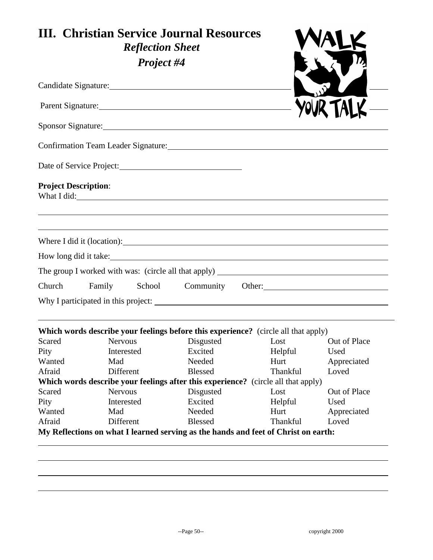|                             | <b>III. Christian Service Journal Resources</b><br><b>Reflection Sheet</b>                                      |                          |                         |                      |
|-----------------------------|-----------------------------------------------------------------------------------------------------------------|--------------------------|-------------------------|----------------------|
|                             | Project #4                                                                                                      |                          |                         |                      |
|                             |                                                                                                                 |                          |                         |                      |
|                             | Parent Signature:                                                                                               |                          |                         |                      |
|                             |                                                                                                                 |                          |                         |                      |
|                             | Confirmation Team Leader Signature: Manual Manual Manual Manual Manual Manual Manual Manual Manual Manual Manua |                          |                         |                      |
|                             |                                                                                                                 |                          |                         |                      |
| <b>Project Description:</b> | What I did:                                                                                                     |                          |                         |                      |
|                             |                                                                                                                 |                          |                         |                      |
|                             | How long did it take:                                                                                           |                          |                         |                      |
|                             |                                                                                                                 |                          |                         |                      |
| Church                      | Family                                                                                                          |                          | School Community Other: |                      |
|                             |                                                                                                                 |                          |                         |                      |
|                             | Which words describe your feelings before this experience? (circle all that apply)                              |                          |                         |                      |
| Scared                      | Nervous                                                                                                         | Disgusted                | Lost                    | Out of Place         |
| Pity                        | Interested                                                                                                      | Excited                  | Helpful                 | Used                 |
| Wanted                      | Mad                                                                                                             | Needed                   | Hurt                    | Appreciated          |
| Afraid                      | Different                                                                                                       | <b>Blessed</b>           | Thankful                | Loved                |
|                             | Which words describe your feelings after this experience? (circle all that apply)                               |                          |                         |                      |
| Scared                      | <b>Nervous</b>                                                                                                  | Disgusted                | Lost                    | Out of Place         |
| Pity                        | Interested                                                                                                      | Excited                  | Helpful                 | Used                 |
|                             | Mad                                                                                                             | Needed<br><b>Blessed</b> | Hurt<br>Thankful        | Appreciated<br>Loved |
| Wanted<br>Afraid            | Different                                                                                                       |                          |                         |                      |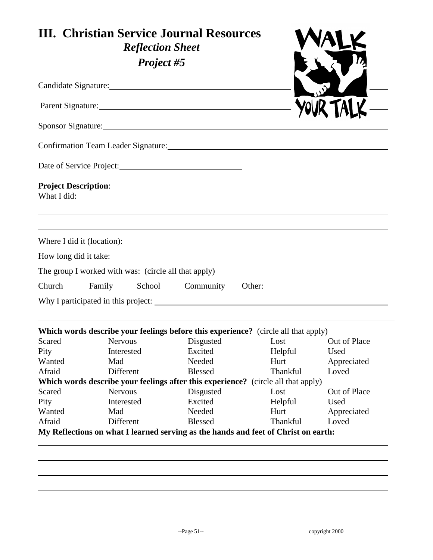|                             | <b>III. Christian Service Journal Resources</b><br><b>Reflection Sheet</b> |                |                                                                                                                 |                      |
|-----------------------------|----------------------------------------------------------------------------|----------------|-----------------------------------------------------------------------------------------------------------------|----------------------|
|                             | Project #5                                                                 |                |                                                                                                                 |                      |
|                             |                                                                            |                |                                                                                                                 |                      |
|                             | Parent Signature:                                                          |                |                                                                                                                 |                      |
|                             |                                                                            |                |                                                                                                                 |                      |
|                             |                                                                            |                | Confirmation Team Leader Signature: Manual Manual Manual Manual Manual Manual Manual Manual Manual Manual Manua |                      |
|                             |                                                                            |                |                                                                                                                 |                      |
| <b>Project Description:</b> | What I did:                                                                |                |                                                                                                                 |                      |
|                             |                                                                            |                |                                                                                                                 |                      |
|                             | How long did it take:                                                      |                |                                                                                                                 |                      |
|                             |                                                                            |                |                                                                                                                 |                      |
| Church                      | Family                                                                     |                | School Community Other:                                                                                         |                      |
|                             |                                                                            |                |                                                                                                                 |                      |
|                             |                                                                            |                | Which words describe your feelings before this experience? (circle all that apply)                              |                      |
| Scared                      | Nervous                                                                    | Disgusted      | Lost                                                                                                            | Out of Place         |
| Pity                        | Interested                                                                 | Excited        | Helpful                                                                                                         | Used                 |
| Wanted                      | Mad                                                                        | Needed         | Hurt                                                                                                            | Appreciated          |
| Afraid                      | Different                                                                  | <b>Blessed</b> | Thankful                                                                                                        | Loved                |
| Scared                      | <b>Nervous</b>                                                             | Disgusted      | Which words describe your feelings after this experience? (circle all that apply)                               |                      |
|                             | Interested                                                                 | Excited        | Lost                                                                                                            | Out of Place<br>Used |
|                             | Mad                                                                        | Needed         | Helpful<br>Hurt                                                                                                 | Appreciated          |
|                             |                                                                            |                | Thankful                                                                                                        |                      |
| Pity<br>Wanted<br>Afraid    | Different                                                                  | <b>Blessed</b> |                                                                                                                 | Loved                |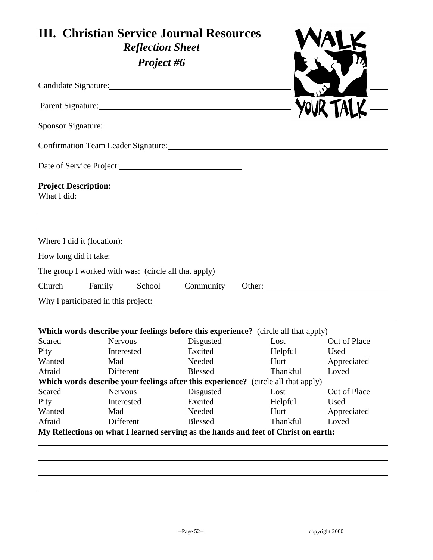|                             | <b>III. Christian Service Journal Resources</b><br><b>Reflection Sheet</b>                                                                                                                                                     |                          |                                                                                                                                                                                                                                |                      |
|-----------------------------|--------------------------------------------------------------------------------------------------------------------------------------------------------------------------------------------------------------------------------|--------------------------|--------------------------------------------------------------------------------------------------------------------------------------------------------------------------------------------------------------------------------|----------------------|
|                             | Project #6                                                                                                                                                                                                                     |                          |                                                                                                                                                                                                                                |                      |
|                             |                                                                                                                                                                                                                                |                          |                                                                                                                                                                                                                                |                      |
|                             | Parent Signature: 1988 and 1988 and 1988 and 1988 and 1988 and 1988 and 1988 and 1988 and 1988 and 1988 and 1988 and 1988 and 1988 and 1988 and 1988 and 1988 and 1988 and 1988 and 1988 and 1988 and 1988 and 1988 and 1988 a |                          |                                                                                                                                                                                                                                |                      |
|                             | Sponsor Signature: 2008 and 2008 and 2008 and 2008 and 2008 and 2008 and 2008 and 2008 and 2008 and 2008 and 20                                                                                                                |                          |                                                                                                                                                                                                                                |                      |
|                             |                                                                                                                                                                                                                                |                          |                                                                                                                                                                                                                                |                      |
|                             | Date of Service Project:                                                                                                                                                                                                       |                          |                                                                                                                                                                                                                                |                      |
| <b>Project Description:</b> |                                                                                                                                                                                                                                |                          | What I did: The Contract of the Contract of the Contract of the Contract of the Contract of the Contract of the Contract of the Contract of the Contract of the Contract of the Contract of the Contract of the Contract of th |                      |
|                             |                                                                                                                                                                                                                                |                          | Where I did it (location):                                                                                                                                                                                                     |                      |
|                             |                                                                                                                                                                                                                                |                          | How long did it take:                                                                                                                                                                                                          |                      |
|                             |                                                                                                                                                                                                                                |                          |                                                                                                                                                                                                                                |                      |
| Church                      | School<br>Family                                                                                                                                                                                                               |                          | Community Other:                                                                                                                                                                                                               |                      |
|                             |                                                                                                                                                                                                                                |                          |                                                                                                                                                                                                                                |                      |
|                             |                                                                                                                                                                                                                                |                          | <b>Which words describe your feelings before this experience?</b> (circle all that apply)                                                                                                                                      |                      |
| Scared                      | <b>Nervous</b>                                                                                                                                                                                                                 | Disgusted                | Lost                                                                                                                                                                                                                           | Out of Place         |
| Pity                        | Interested                                                                                                                                                                                                                     | Excited                  | Helpful                                                                                                                                                                                                                        | Used                 |
| Wanted                      | Mad                                                                                                                                                                                                                            | Needed                   | Hurt                                                                                                                                                                                                                           | Appreciated          |
| Afraid                      | Different                                                                                                                                                                                                                      | <b>Blessed</b>           | Thankful                                                                                                                                                                                                                       | Loved                |
|                             |                                                                                                                                                                                                                                |                          | Which words describe your feelings after this experience? (circle all that apply)                                                                                                                                              |                      |
| Scared                      | <b>Nervous</b>                                                                                                                                                                                                                 | Disgusted<br>Excited     | Lost                                                                                                                                                                                                                           | Out of Place         |
| Pity                        | Interested                                                                                                                                                                                                                     |                          | Helpful                                                                                                                                                                                                                        | Used                 |
|                             | Mad                                                                                                                                                                                                                            | Needed<br><b>Blessed</b> | Hurt<br>Thankful                                                                                                                                                                                                               | Appreciated<br>Loved |
| Wanted<br>Afraid            | Different                                                                                                                                                                                                                      |                          |                                                                                                                                                                                                                                |                      |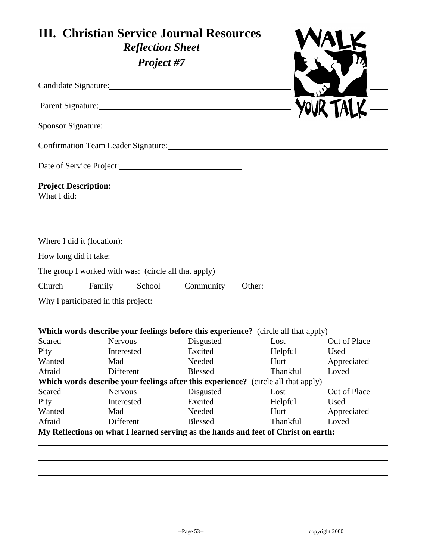|                             | <b>III. Christian Service Journal Resources</b><br><b>Reflection Sheet</b> |                      |                                                                                                                 |                     |
|-----------------------------|----------------------------------------------------------------------------|----------------------|-----------------------------------------------------------------------------------------------------------------|---------------------|
|                             | Project #7                                                                 |                      |                                                                                                                 |                     |
|                             |                                                                            |                      |                                                                                                                 |                     |
|                             | Parent Signature:                                                          |                      |                                                                                                                 |                     |
|                             |                                                                            |                      |                                                                                                                 |                     |
|                             |                                                                            |                      | Confirmation Team Leader Signature: Manual Manual Manual Manual Manual Manual Manual Manual Manual Manual Manua |                     |
|                             |                                                                            |                      |                                                                                                                 |                     |
| <b>Project Description:</b> | What I did:                                                                |                      |                                                                                                                 |                     |
|                             |                                                                            |                      |                                                                                                                 |                     |
|                             | How long did it take:                                                      |                      |                                                                                                                 |                     |
|                             |                                                                            |                      |                                                                                                                 |                     |
| Church                      | Family                                                                     |                      | School Community Other:                                                                                         |                     |
|                             |                                                                            |                      |                                                                                                                 |                     |
|                             |                                                                            |                      | Which words describe your feelings before this experience? (circle all that apply)                              |                     |
| Scared                      | Nervous                                                                    | Disgusted            | Lost                                                                                                            | Out of Place        |
| Pity                        | Interested                                                                 | Excited              | Helpful                                                                                                         | Used                |
| Wanted                      | Mad                                                                        | Needed               | Hurt                                                                                                            | Appreciated         |
| Afraid                      | Different                                                                  | <b>Blessed</b>       | Thankful                                                                                                        | Loved               |
|                             | <b>Nervous</b>                                                             |                      | Which words describe your feelings after this experience? (circle all that apply)                               |                     |
| Scared                      | Interested                                                                 | Disgusted<br>Excited | Lost                                                                                                            | Out of Place        |
| Pity                        | Mad                                                                        | Needed               | Helpful<br>Hurt                                                                                                 | Used<br>Appreciated |
|                             |                                                                            |                      | Thankful                                                                                                        | Loved               |
| Wanted<br>Afraid            | Different                                                                  | <b>Blessed</b>       |                                                                                                                 |                     |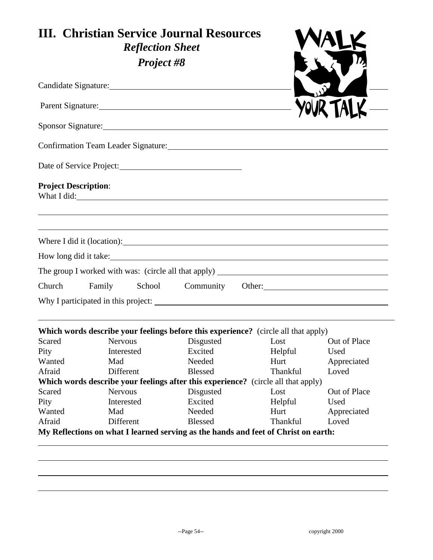|                             | <b>III. Christian Service Journal Resources</b><br><b>Reflection Sheet</b>                                                                                                                                                     |                |                                                                                                                                                                                                                                |              |
|-----------------------------|--------------------------------------------------------------------------------------------------------------------------------------------------------------------------------------------------------------------------------|----------------|--------------------------------------------------------------------------------------------------------------------------------------------------------------------------------------------------------------------------------|--------------|
|                             | <b>Project #8</b>                                                                                                                                                                                                              |                |                                                                                                                                                                                                                                |              |
|                             | Candidate Signature: 1986 and 1987 and 1988 and 1988 and 1988 and 1988 and 1988 and 1988 and 1988 and 1988 and 1988 and 1988 and 1988 and 1988 and 1988 and 1988 and 1988 and 1988 and 1988 and 1988 and 1988 and 1988 and 198 |                |                                                                                                                                                                                                                                |              |
|                             | Parent Signature: 1988 and 1988 and 1988 and 1988 and 1988 and 1988 and 1988 and 1988 and 1988 and 1988 and 1988 and 1988 and 1988 and 1988 and 1988 and 1988 and 1988 and 1988 and 1988 and 1988 and 1988 and 1988 and 1988 a |                |                                                                                                                                                                                                                                |              |
|                             |                                                                                                                                                                                                                                |                |                                                                                                                                                                                                                                |              |
|                             |                                                                                                                                                                                                                                |                |                                                                                                                                                                                                                                |              |
|                             | Date of Service Project:                                                                                                                                                                                                       |                |                                                                                                                                                                                                                                |              |
| <b>Project Description:</b> |                                                                                                                                                                                                                                |                | What I did: The Contract of the Contract of the Contract of the Contract of the Contract of the Contract of the Contract of the Contract of the Contract of the Contract of the Contract of the Contract of the Contract of th |              |
|                             |                                                                                                                                                                                                                                |                |                                                                                                                                                                                                                                |              |
|                             |                                                                                                                                                                                                                                |                | Where I did it (location):                                                                                                                                                                                                     |              |
|                             |                                                                                                                                                                                                                                |                | How long did it take:                                                                                                                                                                                                          |              |
|                             |                                                                                                                                                                                                                                |                |                                                                                                                                                                                                                                |              |
| Church                      | School<br>Family                                                                                                                                                                                                               |                | Community Other:                                                                                                                                                                                                               |              |
|                             |                                                                                                                                                                                                                                |                |                                                                                                                                                                                                                                |              |
|                             |                                                                                                                                                                                                                                |                | <b>Which words describe your feelings before this experience?</b> (circle all that apply)                                                                                                                                      |              |
| Scared                      | <b>Nervous</b>                                                                                                                                                                                                                 | Disgusted      | Lost                                                                                                                                                                                                                           | Out of Place |
| Pity                        | Interested                                                                                                                                                                                                                     | Excited        | Helpful                                                                                                                                                                                                                        | Used         |
| Wanted                      | Mad                                                                                                                                                                                                                            | Needed         | Hurt                                                                                                                                                                                                                           | Appreciated  |
| Afraid                      | Different                                                                                                                                                                                                                      | <b>Blessed</b> | Thankful                                                                                                                                                                                                                       | Loved        |
|                             |                                                                                                                                                                                                                                |                | Which words describe your feelings after this experience? (circle all that apply)                                                                                                                                              |              |
| Scared                      | <b>Nervous</b>                                                                                                                                                                                                                 | Disgusted      | Lost                                                                                                                                                                                                                           | Out of Place |
|                             | Interested                                                                                                                                                                                                                     | Excited        | Helpful                                                                                                                                                                                                                        | Used         |
|                             | Mad                                                                                                                                                                                                                            | Needed         | Hurt<br>Thankful                                                                                                                                                                                                               | Appreciated  |
| Pity<br>Wanted<br>Afraid    | Different                                                                                                                                                                                                                      | <b>Blessed</b> |                                                                                                                                                                                                                                | Loved        |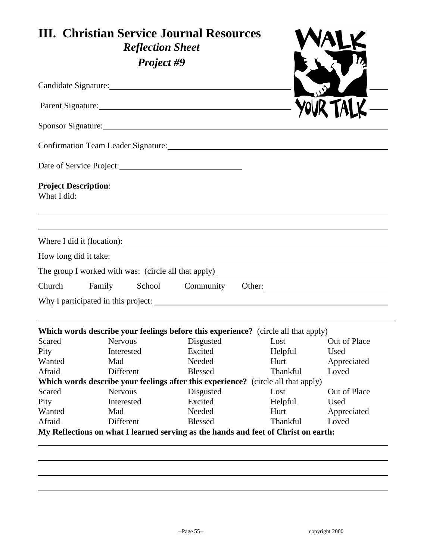|                             | <b>III. Christian Service Journal Resources</b><br><b>Reflection Sheet</b>                           |                |                                               |              |
|-----------------------------|------------------------------------------------------------------------------------------------------|----------------|-----------------------------------------------|--------------|
|                             | Project #9                                                                                           |                |                                               |              |
|                             |                                                                                                      |                |                                               |              |
|                             | Parent Signature:                                                                                    |                |                                               |              |
|                             |                                                                                                      |                |                                               |              |
|                             | Confirmation Team Leader Signature: University of the Confirmation Team Leader Signature:            |                |                                               |              |
|                             |                                                                                                      |                |                                               |              |
| <b>Project Description:</b> | What I did:                                                                                          |                |                                               |              |
|                             |                                                                                                      |                |                                               |              |
|                             |                                                                                                      |                |                                               |              |
|                             | How long did it take:                                                                                |                |                                               |              |
|                             |                                                                                                      |                |                                               |              |
| Church                      | Family                                                                                               |                | School Community Other: 2000 Community Other: |              |
|                             |                                                                                                      |                |                                               |              |
|                             |                                                                                                      |                |                                               |              |
| Scared                      | Which words describe your feelings before this experience? (circle all that apply)<br><b>Nervous</b> | Disgusted      | Lost                                          | Out of Place |
| Pity                        | Interested                                                                                           | Excited        | Helpful                                       | Used         |
| Wanted                      | Mad                                                                                                  | Needed         | Hurt                                          | Appreciated  |
| Afraid                      | Different                                                                                            | <b>Blessed</b> | Thankful                                      | Loved        |
|                             | Which words describe your feelings after this experience? (circle all that apply)                    |                |                                               |              |
| Scared                      | <b>Nervous</b>                                                                                       | Disgusted      | Lost                                          | Out of Place |
| Pity                        | Interested                                                                                           | Excited        | Helpful                                       | Used         |
| Wanted                      | Mad                                                                                                  | Needed         | Hurt                                          | Appreciated  |
|                             | Different                                                                                            | <b>Blessed</b> | Thankful                                      | Loved        |
| Afraid                      |                                                                                                      |                |                                               |              |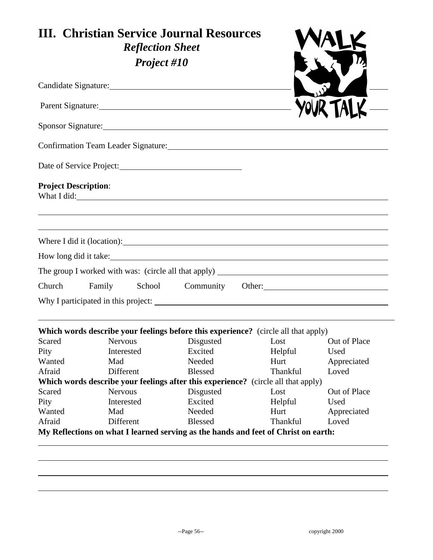| <b>III. Christian Service Journal Resources</b><br><b>Reflection Sheet</b><br>Project #10 |                                                                                                                                                                                                                                |                |                                                                                                                                                                                                                                |              |
|-------------------------------------------------------------------------------------------|--------------------------------------------------------------------------------------------------------------------------------------------------------------------------------------------------------------------------------|----------------|--------------------------------------------------------------------------------------------------------------------------------------------------------------------------------------------------------------------------------|--------------|
|                                                                                           | Candidate Signature: 1986 and 2008 and 2008 and 2008 and 2008 and 2008 and 2008 and 2008 and 2008 and 2008 and 2008 and 2008 and 2008 and 2008 and 2008 and 2008 and 2008 and 2008 and 2008 and 2008 and 2008 and 2008 and 200 |                |                                                                                                                                                                                                                                |              |
|                                                                                           |                                                                                                                                                                                                                                |                |                                                                                                                                                                                                                                |              |
|                                                                                           |                                                                                                                                                                                                                                |                |                                                                                                                                                                                                                                |              |
|                                                                                           |                                                                                                                                                                                                                                |                | Confirmation Team Leader Signature: Manual Manual Manual Manual Manual Manual Manual Manual Manual Manual Manu                                                                                                                 |              |
|                                                                                           | Date of Service Project:                                                                                                                                                                                                       |                |                                                                                                                                                                                                                                |              |
| <b>Project Description:</b>                                                               |                                                                                                                                                                                                                                |                | What I did: The Contract of the Contract of the Contract of the Contract of the Contract of the Contract of the Contract of the Contract of the Contract of the Contract of the Contract of the Contract of the Contract of th |              |
|                                                                                           |                                                                                                                                                                                                                                |                | Where I did it (location):                                                                                                                                                                                                     |              |
|                                                                                           | How long did it take:                                                                                                                                                                                                          |                |                                                                                                                                                                                                                                |              |
|                                                                                           |                                                                                                                                                                                                                                |                |                                                                                                                                                                                                                                |              |
| Church                                                                                    | Family                                                                                                                                                                                                                         |                | School Community Other: 2000 Community Other:                                                                                                                                                                                  |              |
|                                                                                           |                                                                                                                                                                                                                                |                |                                                                                                                                                                                                                                |              |
|                                                                                           |                                                                                                                                                                                                                                |                | Which words describe your feelings before this experience? (circle all that apply)                                                                                                                                             |              |
| Scared                                                                                    | <b>Nervous</b>                                                                                                                                                                                                                 | Disgusted      | Lost                                                                                                                                                                                                                           | Out of Place |
| Pity                                                                                      | Interested                                                                                                                                                                                                                     | Excited        | Helpful                                                                                                                                                                                                                        | Used         |
| Wanted                                                                                    | Mad                                                                                                                                                                                                                            | Needed         | Hurt                                                                                                                                                                                                                           | Appreciated  |
| Afraid                                                                                    | Different                                                                                                                                                                                                                      | <b>Blessed</b> | Thankful                                                                                                                                                                                                                       | Loved        |
|                                                                                           |                                                                                                                                                                                                                                |                | Which words describe your feelings after this experience? (circle all that apply)                                                                                                                                              |              |
| Scared                                                                                    | <b>Nervous</b>                                                                                                                                                                                                                 | Disgusted      | Lost                                                                                                                                                                                                                           | Out of Place |
| Pity                                                                                      | Interested                                                                                                                                                                                                                     | Excited        | Helpful                                                                                                                                                                                                                        | Used         |
| Wanted                                                                                    | Mad                                                                                                                                                                                                                            | Needed         | Hurt                                                                                                                                                                                                                           | Appreciated  |
| Afraid                                                                                    | Different                                                                                                                                                                                                                      | <b>Blessed</b> | <b>Thankful</b>                                                                                                                                                                                                                | Loved        |
|                                                                                           |                                                                                                                                                                                                                                |                | My Reflections on what I learned serving as the hands and feet of Christ on earth:                                                                                                                                             |              |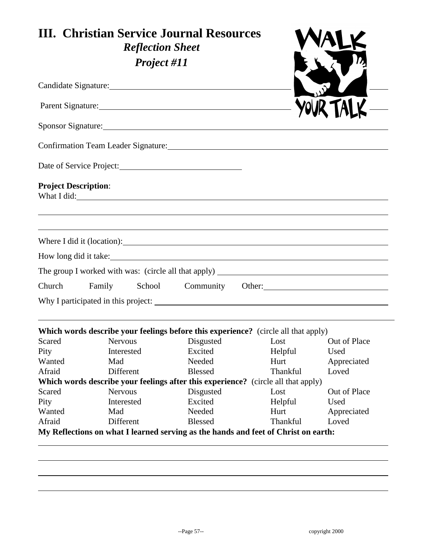| <b>III. Christian Service Journal Resources</b><br><b>Reflection Sheet</b><br>Project #11 |                                                                                                                                                                                                                                |                |                                                                                                                |              |
|-------------------------------------------------------------------------------------------|--------------------------------------------------------------------------------------------------------------------------------------------------------------------------------------------------------------------------------|----------------|----------------------------------------------------------------------------------------------------------------|--------------|
|                                                                                           | Candidate Signature: 1986 and 1987 and 1988 and 1988 and 1988 and 1988 and 1988 and 1988 and 1988 and 1988 and 1988 and 1988 and 1988 and 1988 and 1988 and 1988 and 1988 and 1988 and 1988 and 1988 and 1988 and 1988 and 198 |                |                                                                                                                |              |
|                                                                                           | Parent Signature: 1988 and 1988 and 1988 and 1988 and 1988 and 1988 and 1988 and 1988 and 1988 and 1988 and 1988 and 1988 and 1988 and 1988 and 1988 and 1988 and 1988 and 1988 and 1988 and 1988 and 1988 and 1988 and 1988 a |                |                                                                                                                |              |
|                                                                                           |                                                                                                                                                                                                                                |                |                                                                                                                |              |
|                                                                                           |                                                                                                                                                                                                                                |                | Confirmation Team Leader Signature: Manual Manual Manual Manual Manual Manual Manual Manual Manual Manual Manu |              |
|                                                                                           | Date of Service Project:                                                                                                                                                                                                       |                |                                                                                                                |              |
| <b>Project Description:</b>                                                               |                                                                                                                                                                                                                                |                | What I did:                                                                                                    |              |
|                                                                                           |                                                                                                                                                                                                                                |                | Where I did it (location):                                                                                     |              |
|                                                                                           | How long did it take:                                                                                                                                                                                                          |                |                                                                                                                |              |
|                                                                                           |                                                                                                                                                                                                                                |                |                                                                                                                |              |
| Church                                                                                    | Family                                                                                                                                                                                                                         |                | School Community Other:                                                                                        |              |
|                                                                                           |                                                                                                                                                                                                                                |                |                                                                                                                |              |
|                                                                                           |                                                                                                                                                                                                                                |                | Which words describe your feelings before this experience? (circle all that apply)                             |              |
| Scared                                                                                    | <b>Nervous</b>                                                                                                                                                                                                                 | Disgusted      | Lost                                                                                                           | Out of Place |
| Pity                                                                                      | Interested                                                                                                                                                                                                                     | Excited        | Helpful                                                                                                        | Used         |
| Wanted                                                                                    | Mad                                                                                                                                                                                                                            | Needed         | Hurt                                                                                                           | Appreciated  |
| Afraid                                                                                    | Different                                                                                                                                                                                                                      | <b>Blessed</b> | Thankful                                                                                                       | Loved        |
|                                                                                           |                                                                                                                                                                                                                                |                | Which words describe your feelings after this experience? (circle all that apply)                              |              |
| Scared                                                                                    | <b>Nervous</b>                                                                                                                                                                                                                 | Disgusted      | Lost                                                                                                           | Out of Place |
| Pity                                                                                      | Interested                                                                                                                                                                                                                     | Excited        | Helpful                                                                                                        | Used         |
| Wanted                                                                                    | Mad                                                                                                                                                                                                                            | Needed         | Hurt                                                                                                           | Appreciated  |
| Afraid                                                                                    | Different                                                                                                                                                                                                                      | <b>Blessed</b> | Thankful<br>My Reflections on what I learned serving as the hands and feet of Christ on earth:                 | Loved        |
|                                                                                           |                                                                                                                                                                                                                                |                |                                                                                                                |              |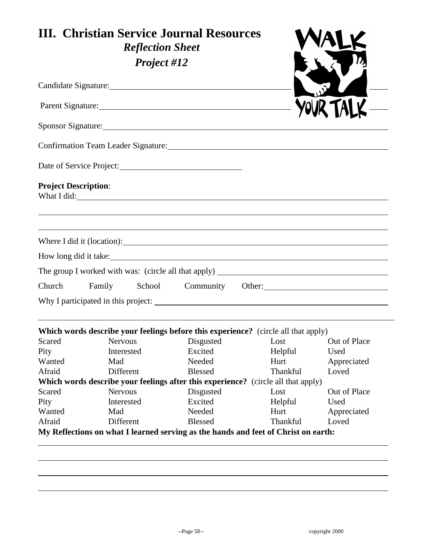| <b>III. Christian Service Journal Resources</b><br><b>Reflection Sheet</b><br>Project #12 |                                                                                                                                                                                                                                |                |                                                                                                                                                                                                                                |              |
|-------------------------------------------------------------------------------------------|--------------------------------------------------------------------------------------------------------------------------------------------------------------------------------------------------------------------------------|----------------|--------------------------------------------------------------------------------------------------------------------------------------------------------------------------------------------------------------------------------|--------------|
|                                                                                           | Candidate Signature: 1986 and 2008 and 2008 and 2008 and 2008 and 2008 and 2008 and 2008 and 2008 and 2008 and 2008 and 2008 and 2008 and 2008 and 2008 and 2008 and 2008 and 2008 and 2008 and 2008 and 2008 and 2008 and 200 |                |                                                                                                                                                                                                                                |              |
|                                                                                           |                                                                                                                                                                                                                                |                |                                                                                                                                                                                                                                |              |
|                                                                                           |                                                                                                                                                                                                                                |                |                                                                                                                                                                                                                                |              |
|                                                                                           |                                                                                                                                                                                                                                |                | Confirmation Team Leader Signature: Manual Manual Manual Manual Manual Manual Manual Manual Manual Manual Manu                                                                                                                 |              |
|                                                                                           | Date of Service Project:                                                                                                                                                                                                       |                |                                                                                                                                                                                                                                |              |
| <b>Project Description:</b>                                                               |                                                                                                                                                                                                                                |                | What I did: The Contract of the Contract of the Contract of the Contract of the Contract of the Contract of the Contract of the Contract of the Contract of the Contract of the Contract of the Contract of the Contract of th |              |
|                                                                                           |                                                                                                                                                                                                                                |                | Where I did it (location):                                                                                                                                                                                                     |              |
|                                                                                           | How long did it take:                                                                                                                                                                                                          |                |                                                                                                                                                                                                                                |              |
|                                                                                           |                                                                                                                                                                                                                                |                |                                                                                                                                                                                                                                |              |
| Church                                                                                    | Family                                                                                                                                                                                                                         |                | School Community Other: 2000 Community Other:                                                                                                                                                                                  |              |
|                                                                                           |                                                                                                                                                                                                                                |                |                                                                                                                                                                                                                                |              |
|                                                                                           |                                                                                                                                                                                                                                |                | Which words describe your feelings before this experience? (circle all that apply)                                                                                                                                             |              |
| Scared                                                                                    | <b>Nervous</b>                                                                                                                                                                                                                 | Disgusted      | Lost                                                                                                                                                                                                                           | Out of Place |
| Pity                                                                                      | Interested                                                                                                                                                                                                                     | Excited        | Helpful                                                                                                                                                                                                                        | Used         |
| Wanted                                                                                    | Mad                                                                                                                                                                                                                            | Needed         | Hurt                                                                                                                                                                                                                           | Appreciated  |
| Afraid                                                                                    | Different                                                                                                                                                                                                                      | <b>Blessed</b> | Thankful                                                                                                                                                                                                                       | Loved        |
|                                                                                           |                                                                                                                                                                                                                                |                | Which words describe your feelings after this experience? (circle all that apply)                                                                                                                                              |              |
| Scared                                                                                    | <b>Nervous</b>                                                                                                                                                                                                                 | Disgusted      | Lost                                                                                                                                                                                                                           | Out of Place |
| Pity                                                                                      | Interested                                                                                                                                                                                                                     | Excited        | Helpful                                                                                                                                                                                                                        | Used         |
| Wanted                                                                                    | Mad                                                                                                                                                                                                                            | Needed         | Hurt                                                                                                                                                                                                                           | Appreciated  |
| Afraid                                                                                    | Different                                                                                                                                                                                                                      | <b>Blessed</b> | <b>Thankful</b><br>My Reflections on what I learned serving as the hands and feet of Christ on earth:                                                                                                                          | Loved        |
|                                                                                           |                                                                                                                                                                                                                                |                |                                                                                                                                                                                                                                |              |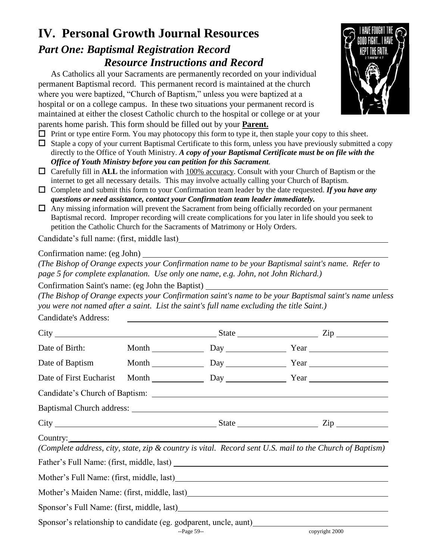#### **IV. Personal Growth Journal Resources** *Part One: Baptismal Registration Record Resource Instructions and Record*

As Catholics all your Sacraments are permanently recorded on your individual permanent Baptismal record. This permanent record is maintained at the church where you were baptized, "Church of Baptism," unless you were baptized at a hospital or on a college campus. In these two situations your permanent record is maintained at either the closest Catholic church to the hospital or college or at your parents home parish. This form should be filled out by your **Parent.**

 $\Box$  Print or type entire Form. You may photocopy this form to type it, then staple your copy to this sheet.

- $\Box$  Staple a copy of your current Baptismal Certificate to this form, unless you have previously submitted a copy directly to the Office of Youth Ministry. *A copy of your Baptismal Certificate must be on file with the Office of Youth Ministry before you can petition for this Sacrament.*
- Carefully fill in **ALL** the information with 100% accuracy. Consult with your Church of Baptism or the internet to get all necessary details. This may involve actually calling your Church of Baptism.
- Complete and submit this form to your Confirmation team leader by the date requested. *If you have any questions or need assistance, contact your Confirmation team leader immediately.*
- $\Box$  Any missing information will prevent the Sacrament from being officially recorded on your permanent Baptismal record. Improper recording will create complications for you later in life should you seek to petition the Catholic Church for the Sacraments of Matrimony or Holy Orders.

Candidate's full name: (first, middle last)

#### Confirmation name: (eg John)

*(The Bishop of Orange expects your Confirmation name to be your Baptismal saint's name. Refer to page 5 for complete explanation. Use only one name, e.g. John, not John Richard.)* 

Confirmation Saint's name: (eg John the Baptist)

*(The Bishop of Orange expects your Confirmation saint's name to be your Baptismal saint's name unless you were not named after a saint. List the saint's full name excluding the title Saint.)*

Candidate's Address:

| Date of Birth:          |                                                                                 | Month Day Day Year                                                                                      |
|-------------------------|---------------------------------------------------------------------------------|---------------------------------------------------------------------------------------------------------|
|                         |                                                                                 | Date of Baptism Month Day Day Year                                                                      |
| Date of First Eucharist |                                                                                 | Month Day Day Year                                                                                      |
|                         |                                                                                 |                                                                                                         |
|                         |                                                                                 |                                                                                                         |
|                         |                                                                                 |                                                                                                         |
| Country: Country:       |                                                                                 | (Complete address, city, state, zip & country is vital. Record sent U.S. mail to the Church of Baptism) |
|                         |                                                                                 |                                                                                                         |
|                         |                                                                                 |                                                                                                         |
|                         |                                                                                 | Mother's Maiden Name: (first, middle, last)                                                             |
|                         |                                                                                 |                                                                                                         |
|                         | Sponsor's relationship to candidate (eg. godparent, uncle, aunt)<br>$-Page 59-$ | copyright 2000                                                                                          |

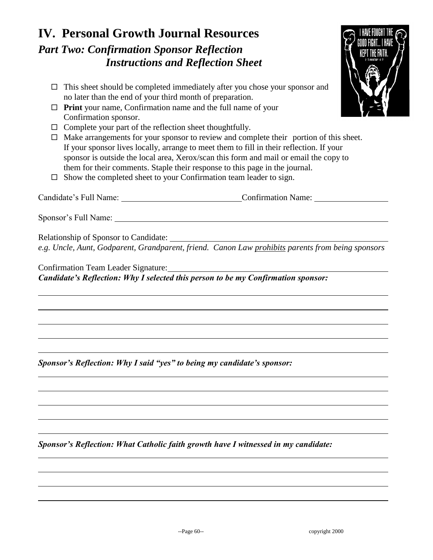### **IV. Personal Growth Journal Resources** *Part Two: Confirmation Sponsor Reflection Instructions and Reflection Sheet*

- $\Box$  This sheet should be completed immediately after you chose your sponsor and no later than the end of your third month of preparation.
- **Print** your name, Confirmation name and the full name of your Confirmation sponsor.
- $\Box$  Complete your part of the reflection sheet thoughtfully.
- $\Box$  Make arrangements for your sponsor to review and complete their portion of this sheet. If your sponsor lives locally, arrange to meet them to fill in their reflection. If your sponsor is outside the local area, Xerox/scan this form and mail or email the copy to them for their comments. Staple their response to this page in the journal.
- $\square$  Show the completed sheet to your Confirmation team leader to sign.

Candidate's Full Name: Confirmation Name: Confirmation Name:

Sponsor's Full Name:

Relationship of Sponsor to Candidate: *e.g. Uncle, Aunt, Godparent, Grandparent, friend. Canon Law prohibits parents from being sponsors*

Confirmation Team Leader Signature: *Candidate's Reflection: Why I selected this person to be my Confirmation sponsor:*

*Sponsor's Reflection: Why I said "yes" to being my candidate's sponsor:*

*Sponsor's Reflection: What Catholic faith growth have I witnessed in my candidate:*

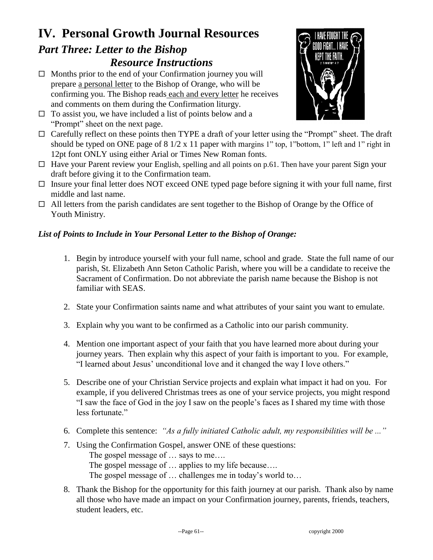# **IV. Personal Growth Journal Resources**

#### *Part Three: Letter to the Bishop Resource Instructions*

- $\Box$  Months prior to the end of your Confirmation journey you will prepare a personal letter to the Bishop of Orange, who will be confirming you. The Bishop reads each and every letter he receives and comments on them during the Confirmation liturgy.
- $\Box$  To assist you, we have included a list of points below and a "Prompt" sheet on the next page.
- $\Box$  Carefully reflect on these points then TYPE a draft of your letter using the "Prompt" sheet. The draft should be typed on ONE page of 8 1/2 x 11 paper with margins 1" top, 1"bottom, 1" left and 1" right in 12pt font ONLY using either Arial or Times New Roman fonts.
- $\Box$  Have your Parent review your English, spelling and all points on p.61. Then have your parent Sign your draft before giving it to the Confirmation team.
- $\Box$  Insure your final letter does NOT exceed ONE typed page before signing it with your full name, first middle and last name.
- $\Box$  All letters from the parish candidates are sent together to the Bishop of Orange by the Office of Youth Ministry.

#### *List of Points to Include in Your Personal Letter to the Bishop of Orange:*

- 1. Begin by introduce yourself with your full name, school and grade. State the full name of our parish, St. Elizabeth Ann Seton Catholic Parish, where you will be a candidate to receive the Sacrament of Confirmation. Do not abbreviate the parish name because the Bishop is not familiar with SEAS.
- 2. State your Confirmation saints name and what attributes of your saint you want to emulate.
- 3. Explain why you want to be confirmed as a Catholic into our parish community.
- 4. Mention one important aspect of your faith that you have learned more about during your journey years. Then explain why this aspect of your faith is important to you. For example, "I learned about Jesus' unconditional love and it changed the way I love others."
- 5. Describe one of your Christian Service projects and explain what impact it had on you. For example, if you delivered Christmas trees as one of your service projects, you might respond "I saw the face of God in the joy I saw on the people's faces as I shared my time with those less fortunate."
- 6. Complete this sentence: *"As a fully initiated Catholic adult, my responsibilities will be ..."*
- 7. Using the Confirmation Gospel, answer ONE of these questions:

The gospel message of … says to me….

The gospel message of … applies to my life because….

The gospel message of … challenges me in today's world to…

8. Thank the Bishop for the opportunity for this faith journey at our parish. Thank also by name all those who have made an impact on your Confirmation journey, parents, friends, teachers, student leaders, etc.

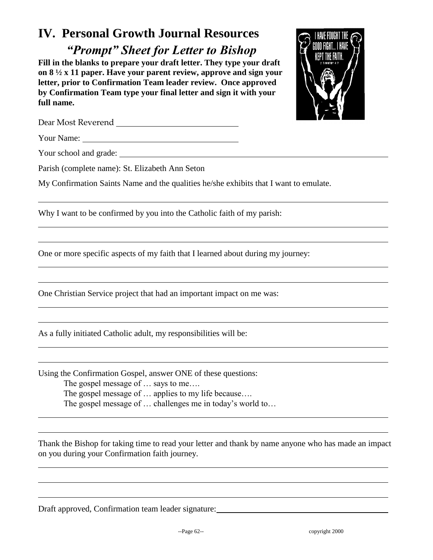## **IV. Personal Growth Journal Resources**

*"Prompt" Sheet for Letter to Bishop*

**Fill in the blanks to prepare your draft letter. They type your draft on 8 ½ x 11 paper. Have your parent review, approve and sign your letter, prior to Confirmation Team leader review. Once approved by Confirmation Team type your final letter and sign it with your full name.** 



Dear Most Reverend

Your Name:

Your school and grade:

Parish (complete name): St. Elizabeth Ann Seton

My Confirmation Saints Name and the qualities he/she exhibits that I want to emulate.

Why I want to be confirmed by you into the Catholic faith of my parish:

One or more specific aspects of my faith that I learned about during my journey:

One Christian Service project that had an important impact on me was:

As a fully initiated Catholic adult, my responsibilities will be:

Using the Confirmation Gospel, answer ONE of these questions: The gospel message of … says to me…. The gospel message of … applies to my life because…. The gospel message of … challenges me in today's world to…

Thank the Bishop for taking time to read your letter and thank by name anyone who has made an impact on you during your Confirmation faith journey.

Draft approved, Confirmation team leader signature: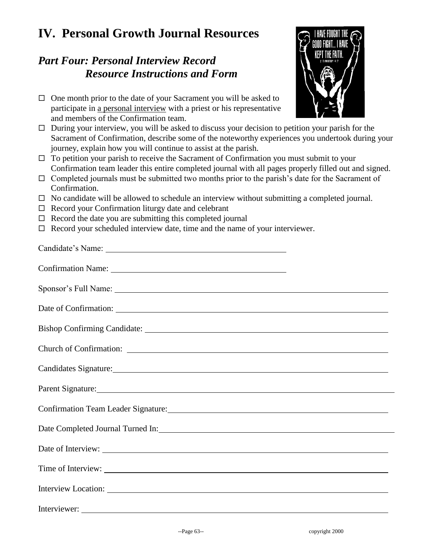# **IV. Personal Growth Journal Resources**

### *Part Four: Personal Interview Record Resource Instructions and Form*

- $\Box$  One month prior to the date of your Sacrament you will be asked to participate in a personal interview with a priest or his representative and members of the Confirmation team.
- $\Box$  During your interview, you will be asked to discuss your decision to petition your parish for the Sacrament of Confirmation, describe some of the noteworthy experiences you undertook during your journey, explain how you will continue to assist at the parish.
- $\Box$  To petition your parish to receive the Sacrament of Confirmation you must submit to your Confirmation team leader this entire completed journal with all pages properly filled out and signed.
- $\Box$  Completed journals must be submitted two months prior to the parish's date for the Sacrament of Confirmation.
- $\Box$  No candidate will be allowed to schedule an interview without submitting a completed journal.
- $\Box$  Record your Confirmation liturgy date and celebrant
- $\Box$  Record the date you are submitting this completed journal
- $\Box$  Record your scheduled interview date, time and the name of your interviewer.

| Candidates Signature: Manual Candidates Signature:                             |
|--------------------------------------------------------------------------------|
| Parent Signature:                                                              |
| Confirmation Team Leader Signature: Manual Confirmation Team Leader Signature: |
|                                                                                |
|                                                                                |
| Time of Interview:                                                             |
| Interview Location:                                                            |
|                                                                                |

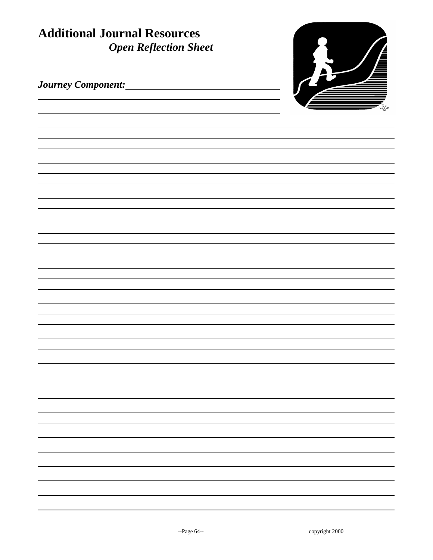| <b>Additional Journal Resources</b><br><b>Open Reflection Sheet</b> |  |
|---------------------------------------------------------------------|--|
|                                                                     |  |
|                                                                     |  |
|                                                                     |  |
|                                                                     |  |
|                                                                     |  |
|                                                                     |  |
|                                                                     |  |
|                                                                     |  |
|                                                                     |  |
|                                                                     |  |
|                                                                     |  |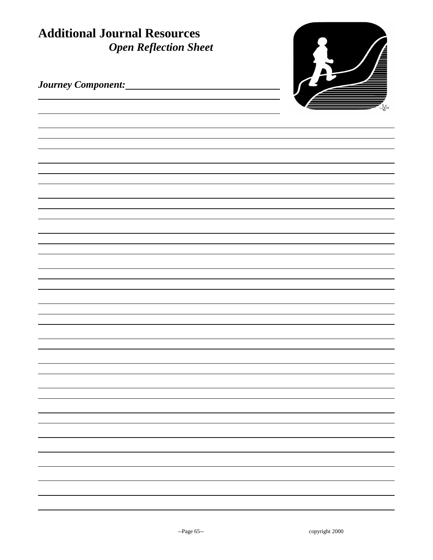| <b>Additional Journal Resources</b><br><b>Open Reflection Sheet</b> |  |
|---------------------------------------------------------------------|--|
|                                                                     |  |
|                                                                     |  |
|                                                                     |  |
|                                                                     |  |
|                                                                     |  |
|                                                                     |  |
|                                                                     |  |
|                                                                     |  |
|                                                                     |  |
|                                                                     |  |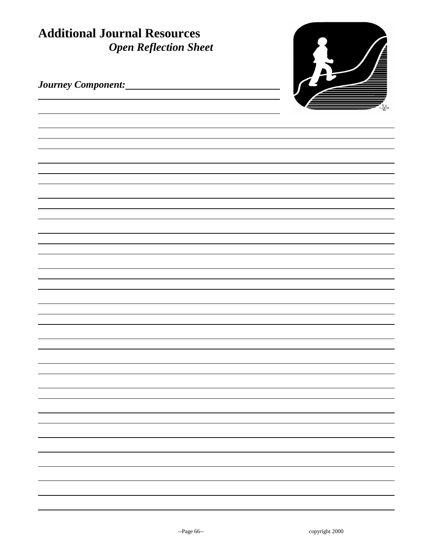| <b>Additional Journal Resources</b><br><b>Open Reflection Sheet</b> |  |
|---------------------------------------------------------------------|--|
|                                                                     |  |
|                                                                     |  |
|                                                                     |  |
|                                                                     |  |
|                                                                     |  |
|                                                                     |  |
|                                                                     |  |
|                                                                     |  |
|                                                                     |  |
|                                                                     |  |
|                                                                     |  |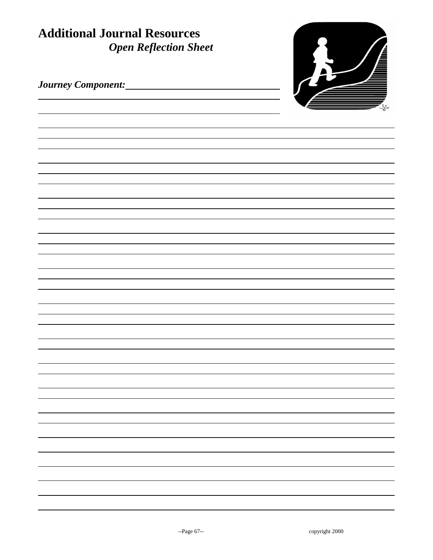| <b>Additional Journal Resources</b><br><b>Open Reflection Sheet</b> |  |
|---------------------------------------------------------------------|--|
|                                                                     |  |
|                                                                     |  |
|                                                                     |  |
|                                                                     |  |
|                                                                     |  |
|                                                                     |  |
|                                                                     |  |
|                                                                     |  |
|                                                                     |  |
|                                                                     |  |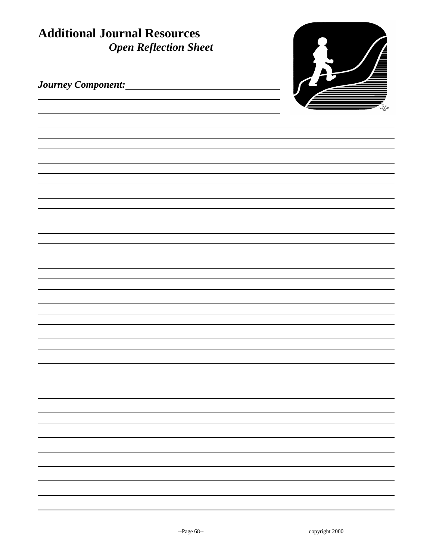| <b>Additional Journal Resources</b><br><b>Open Reflection Sheet</b> |  |
|---------------------------------------------------------------------|--|
|                                                                     |  |
|                                                                     |  |
|                                                                     |  |
|                                                                     |  |
|                                                                     |  |
|                                                                     |  |
|                                                                     |  |
|                                                                     |  |
|                                                                     |  |
|                                                                     |  |
|                                                                     |  |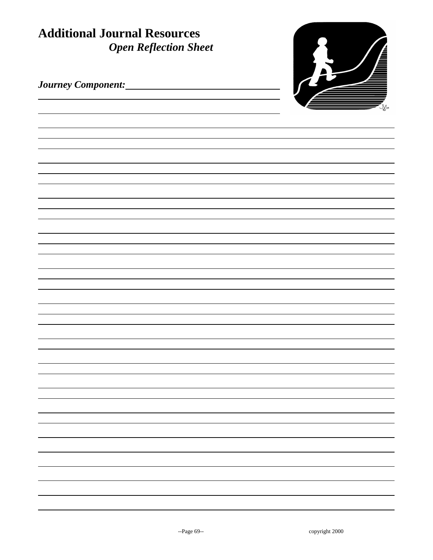| <b>Additional Journal Resources</b><br><b>Open Reflection Sheet</b> |  |
|---------------------------------------------------------------------|--|
|                                                                     |  |
|                                                                     |  |
|                                                                     |  |
|                                                                     |  |
|                                                                     |  |
|                                                                     |  |
|                                                                     |  |
|                                                                     |  |
|                                                                     |  |
|                                                                     |  |
|                                                                     |  |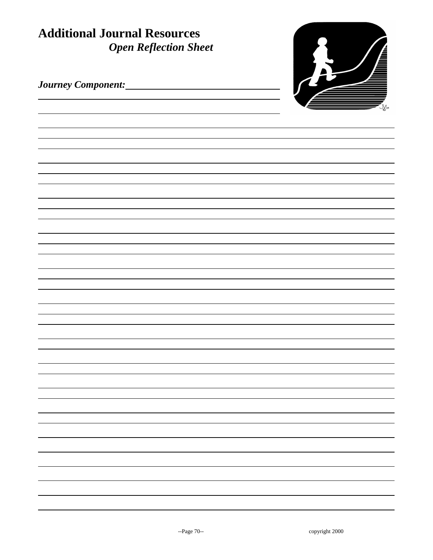| <b>Additional Journal Resources</b><br><b>Open Reflection Sheet</b> |  |
|---------------------------------------------------------------------|--|
|                                                                     |  |
|                                                                     |  |
|                                                                     |  |
|                                                                     |  |
|                                                                     |  |
|                                                                     |  |
|                                                                     |  |
|                                                                     |  |
|                                                                     |  |
|                                                                     |  |
|                                                                     |  |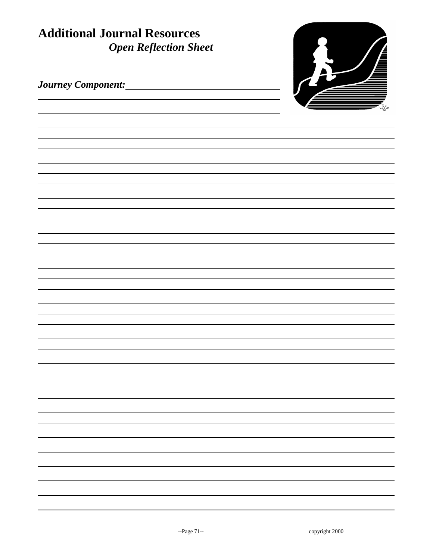| <b>Additional Journal Resources</b><br><b>Open Reflection Sheet</b> |  |
|---------------------------------------------------------------------|--|
|                                                                     |  |
|                                                                     |  |
|                                                                     |  |
|                                                                     |  |
|                                                                     |  |
|                                                                     |  |
|                                                                     |  |
|                                                                     |  |
|                                                                     |  |
|                                                                     |  |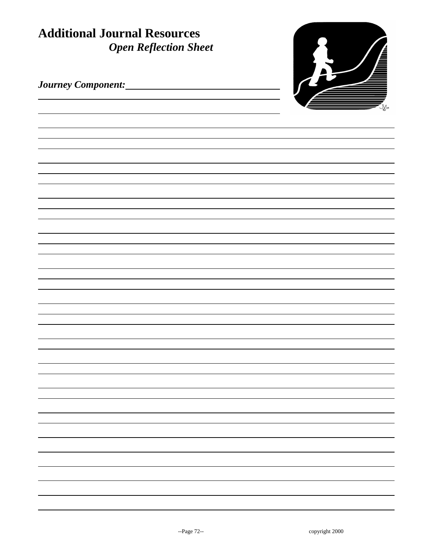| <b>Additional Journal Resources</b><br><b>Open Reflection Sheet</b> |  |
|---------------------------------------------------------------------|--|
|                                                                     |  |
|                                                                     |  |
|                                                                     |  |
|                                                                     |  |
|                                                                     |  |
|                                                                     |  |
|                                                                     |  |
|                                                                     |  |
|                                                                     |  |
|                                                                     |  |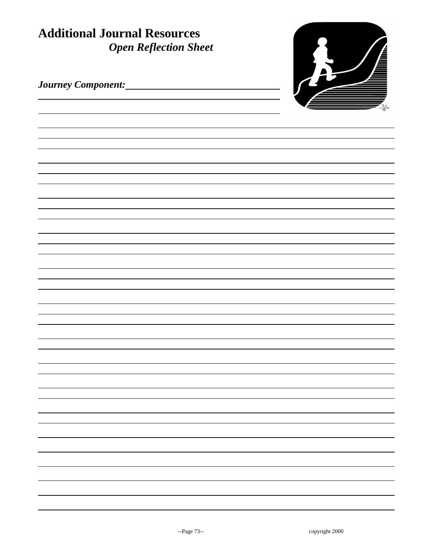| <b>Additional Journal Resources</b><br><b>Open Reflection Sheet</b> |  |
|---------------------------------------------------------------------|--|
|                                                                     |  |
|                                                                     |  |
|                                                                     |  |
|                                                                     |  |
|                                                                     |  |
|                                                                     |  |
|                                                                     |  |
|                                                                     |  |
|                                                                     |  |
|                                                                     |  |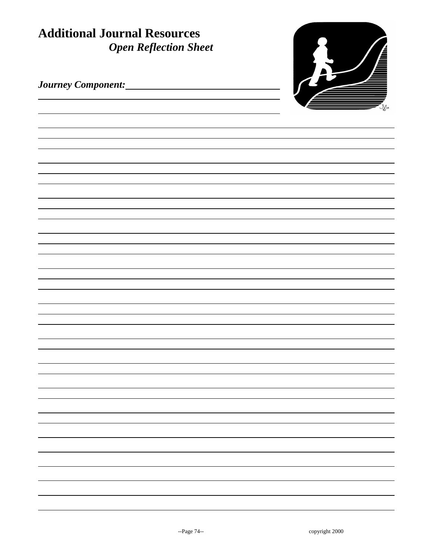| <b>Additional Journal Resources</b><br><b>Open Reflection Sheet</b> |  |
|---------------------------------------------------------------------|--|
|                                                                     |  |
|                                                                     |  |
|                                                                     |  |
|                                                                     |  |
|                                                                     |  |
|                                                                     |  |
|                                                                     |  |
|                                                                     |  |
|                                                                     |  |
|                                                                     |  |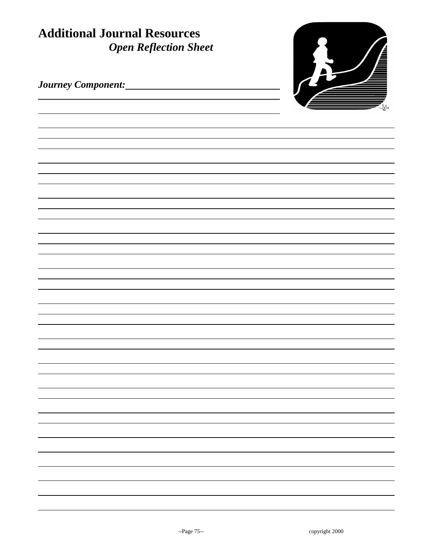| <b>Additional Journal Resources</b><br><b>Open Reflection Sheet</b> |  |  |
|---------------------------------------------------------------------|--|--|
|                                                                     |  |  |
|                                                                     |  |  |
|                                                                     |  |  |
|                                                                     |  |  |
|                                                                     |  |  |
|                                                                     |  |  |
|                                                                     |  |  |
|                                                                     |  |  |
|                                                                     |  |  |
|                                                                     |  |  |
|                                                                     |  |  |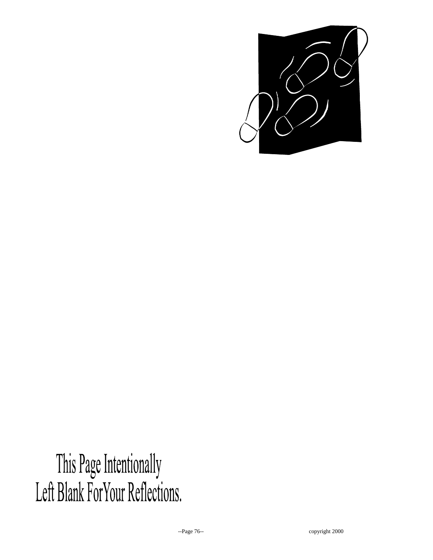

This Page Intentionally<br>Left Blank ForYour Reflections.